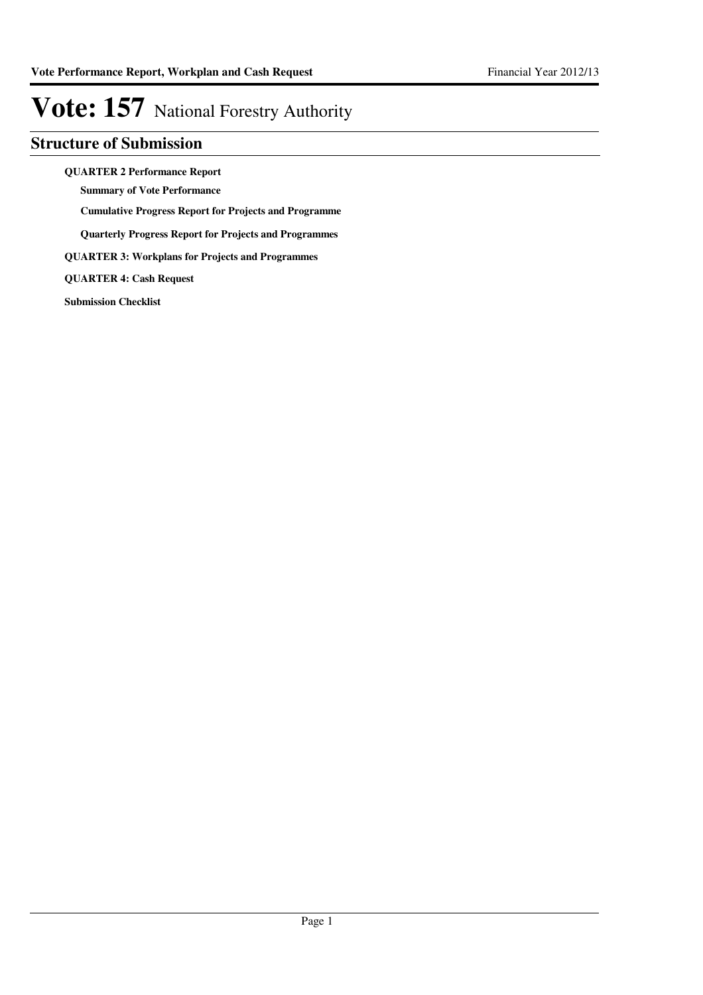### **Structure of Submission**

**QUARTER 2 Performance Report**

**Summary of Vote Performance**

**Cumulative Progress Report for Projects and Programme**

**Quarterly Progress Report for Projects and Programmes**

**QUARTER 3: Workplans for Projects and Programmes**

**QUARTER 4: Cash Request**

**Submission Checklist**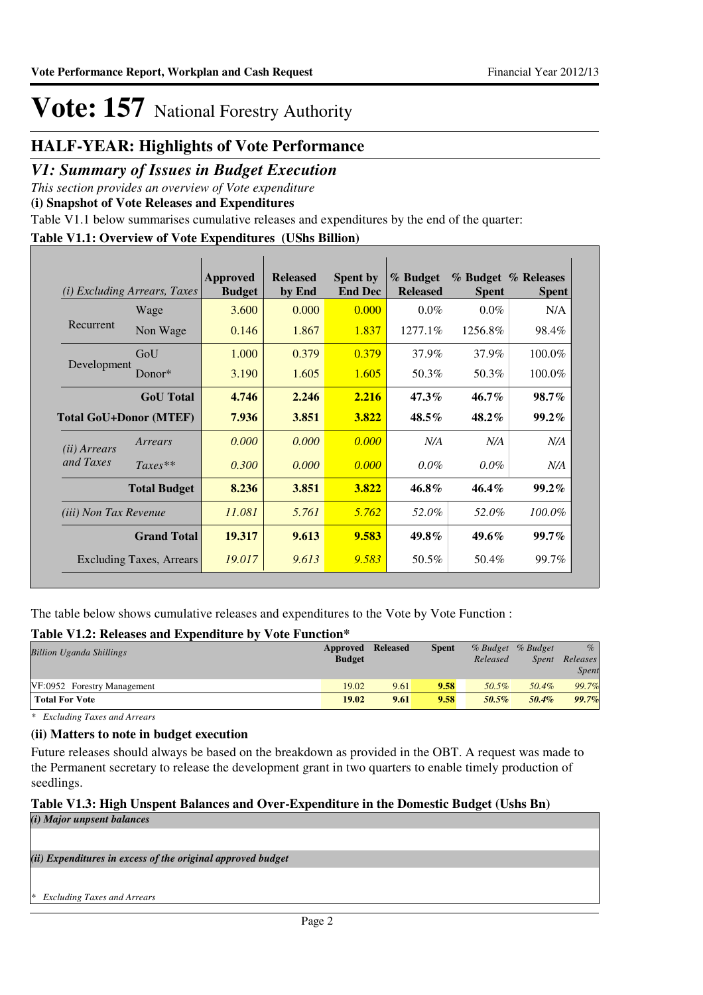### **HALF-YEAR: Highlights of Vote Performance**

### *V1: Summary of Issues in Budget Execution*

*This section provides an overview of Vote expenditure* 

**(i) Snapshot of Vote Releases and Expenditures**

Table V1.1 below summarises cumulative releases and expenditures by the end of the quarter:

### **Table V1.1: Overview of Vote Expenditures (UShs Billion)**

| (i)                          | <i>Excluding Arrears, Taxes</i> | <b>Approved</b><br><b>Budget</b> | <b>Released</b><br>by End | <b>Spent by</b><br><b>End Dec</b> | % Budget<br><b>Released</b> | <b>Spent</b> | % Budget % Releases<br><b>Spent</b> |
|------------------------------|---------------------------------|----------------------------------|---------------------------|-----------------------------------|-----------------------------|--------------|-------------------------------------|
|                              | Wage                            | 3.600                            | 0.000                     | 0.000                             | $0.0\%$                     | $0.0\%$      | N/A                                 |
| Recurrent                    | Non Wage                        | 0.146                            | 1.867                     | 1.837                             | 1277.1%                     | 1256.8%      | 98.4%                               |
|                              | GoU                             | 1.000                            | 0.379                     | 0.379                             | 37.9%                       | 37.9%        | 100.0%                              |
| Development                  | Donor*                          | 3.190                            | 1.605                     | 1.605                             | 50.3%                       | 50.3%        | 100.0%                              |
|                              | <b>GoU</b> Total                | 4.746                            | 2.246                     | 2.216                             | $47.3\%$                    | $46.7\%$     | 98.7%                               |
|                              | <b>Total GoU+Donor (MTEF)</b>   | 7.936                            | 3.851                     | 3.822                             | $48.5\%$                    | $48.2\%$     | $99.2\%$                            |
| (ii) Arrears                 | Arrears                         | 0.000                            | 0.000                     | 0.000                             | N/A                         | N/A          | N/A                                 |
| and Taxes                    | $Taxes**$                       | 0.300                            | 0.000                     | 0.000                             | $0.0\%$                     | $0.0\%$      | N/A                                 |
|                              | <b>Total Budget</b>             | 8.236                            | 3.851                     | 3.822                             | 46.8%                       | $46.4\%$     | $99.2\%$                            |
| <i>(iii)</i> Non Tax Revenue |                                 | 11.081                           | 5.761                     | 5.762                             | 52.0%                       | 52.0%        | 100.0%                              |
|                              | <b>Grand Total</b>              | 19.317                           | 9.613                     | 9.583                             | 49.8%                       | $49.6\%$     | 99.7%                               |
|                              | <b>Excluding Taxes, Arrears</b> | 19.017                           | 9.613                     | 9.583                             | 50.5%                       | 50.4%        | 99.7%                               |

The table below shows cumulative releases and expenditures to the Vote by Vote Function :

### **Table V1.2: Releases and Expenditure by Vote Function\***

| Approved      | <b>Released</b> | <b>Spent</b> |          |              | $\%$              |
|---------------|-----------------|--------------|----------|--------------|-------------------|
| <b>Budget</b> |                 |              | Released | <i>Spent</i> | Releases          |
|               |                 |              |          |              | Spent             |
| 19.02         | 9.61            | 9.58         | 50.5%    | 50.4%        | 99.7%             |
| 19.02         | 9.61            | 9.58         | 50.5%    | 50.4%        | 99.7%             |
|               |                 |              |          | .            | % Budget % Budget |

*\* Excluding Taxes and Arrears*

### **(ii) Matters to note in budget execution**

Future releases should always be based on the breakdown as provided in the OBT. A request was made to the Permanent secretary to release the development grant in two quarters to enable timely production of seedlings.

### **Table V1.3: High Unspent Balances and Over-Expenditure in the Domestic Budget (Ushs Bn)** *(i) Major unpsent balances*

*(ii) Expenditures in excess of the original approved budget*

*\* Excluding Taxes and Arrears*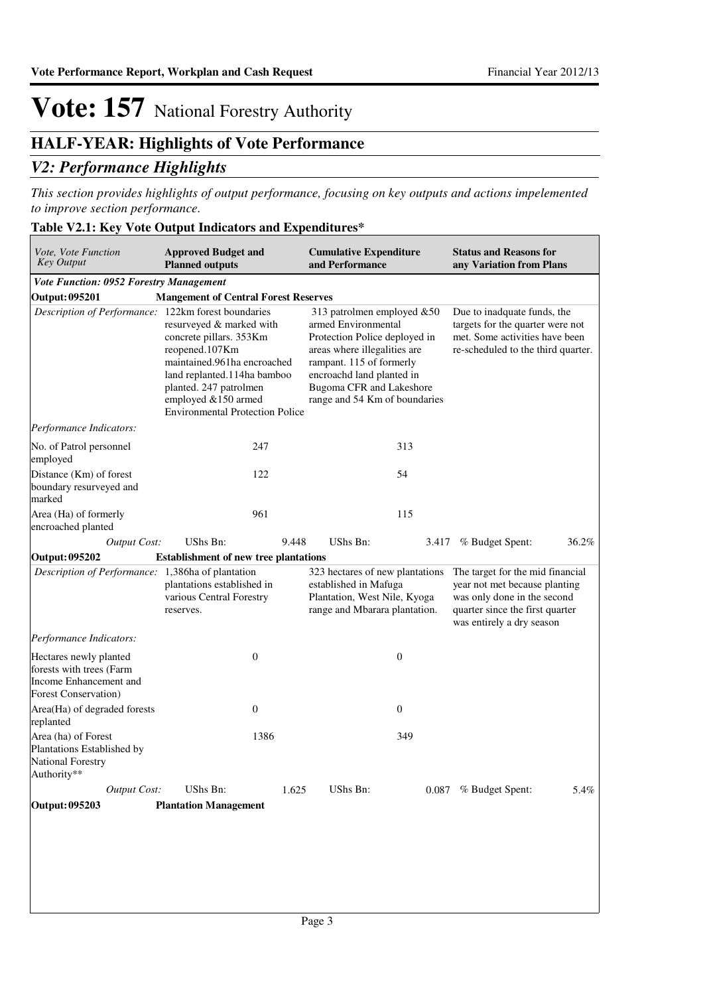## **HALF-YEAR: Highlights of Vote Performance**

### *V2: Performance Highlights*

*This section provides highlights of output performance, focusing on key outputs and actions impelemented to improve section performance.*

### **Table V2.1: Key Vote Output Indicators and Expenditures\***

| Vote, Vote Function<br><b>Key Output</b>                                                                     | <b>Approved Budget and</b><br><b>Planned outputs</b>                                                                                                                                                                           | <b>Cumulative Expenditure</b><br>and Performance                                                                                                                                                                                                | <b>Status and Reasons for</b><br>any Variation from Plans                                                                                                        |
|--------------------------------------------------------------------------------------------------------------|--------------------------------------------------------------------------------------------------------------------------------------------------------------------------------------------------------------------------------|-------------------------------------------------------------------------------------------------------------------------------------------------------------------------------------------------------------------------------------------------|------------------------------------------------------------------------------------------------------------------------------------------------------------------|
| Vote Function: 0952 Forestry Management                                                                      |                                                                                                                                                                                                                                |                                                                                                                                                                                                                                                 |                                                                                                                                                                  |
| <b>Output: 095201</b>                                                                                        | <b>Mangement of Central Forest Reserves</b>                                                                                                                                                                                    |                                                                                                                                                                                                                                                 |                                                                                                                                                                  |
| Description of Performance: 122km forest boundaries                                                          | resurveyed & marked with<br>concrete pillars. 353Km<br>reopened.107Km<br>maintained.961ha encroached<br>land replanted.114ha bamboo<br>planted. 247 patrolmen<br>employed &150 armed<br><b>Environmental Protection Police</b> | 313 patrolmen employed &50<br>armed Environmental<br>Protection Police deployed in<br>areas where illegalities are<br>rampant. 115 of formerly<br>encroachd land planted in<br><b>Bugoma CFR</b> and Lakeshore<br>range and 54 Km of boundaries |                                                                                                                                                                  |
| Performance Indicators:                                                                                      |                                                                                                                                                                                                                                |                                                                                                                                                                                                                                                 |                                                                                                                                                                  |
| No. of Patrol personnel<br>employed                                                                          | 247                                                                                                                                                                                                                            | 313                                                                                                                                                                                                                                             |                                                                                                                                                                  |
| Distance (Km) of forest<br>boundary resurveyed and<br>marked                                                 | 122                                                                                                                                                                                                                            | 54                                                                                                                                                                                                                                              |                                                                                                                                                                  |
| Area (Ha) of formerly<br>encroached planted                                                                  | 961                                                                                                                                                                                                                            | 115                                                                                                                                                                                                                                             |                                                                                                                                                                  |
| <b>Output Cost:</b>                                                                                          | UShs Bn:                                                                                                                                                                                                                       | 9.448<br>UShs Bn:                                                                                                                                                                                                                               | 36.2%<br>% Budget Spent:<br>3.417                                                                                                                                |
| Output: 095202                                                                                               | <b>Establishment of new tree plantations</b>                                                                                                                                                                                   |                                                                                                                                                                                                                                                 |                                                                                                                                                                  |
| Description of Performance: 1,386ha of plantation                                                            | plantations established in<br>various Central Forestry<br>reserves.                                                                                                                                                            | 323 hectares of new plantations<br>established in Mafuga<br>Plantation, West Nile, Kyoga<br>range and Mbarara plantation.                                                                                                                       | The target for the mid financial<br>year not met because planting<br>was only done in the second<br>quarter since the first quarter<br>was entirely a dry season |
| Performance Indicators:                                                                                      |                                                                                                                                                                                                                                |                                                                                                                                                                                                                                                 |                                                                                                                                                                  |
| Hectares newly planted<br>forests with trees (Farm<br>Income Enhancement and<br><b>Forest Conservation</b> ) | $\mathbf{0}$                                                                                                                                                                                                                   | $\boldsymbol{0}$                                                                                                                                                                                                                                |                                                                                                                                                                  |
| Area(Ha) of degraded forests<br>replanted                                                                    | $\mathbf{0}$                                                                                                                                                                                                                   | $\boldsymbol{0}$                                                                                                                                                                                                                                |                                                                                                                                                                  |
| Area (ha) of Forest<br>Plantations Established by<br><b>National Forestry</b><br>Authority**                 | 1386                                                                                                                                                                                                                           | 349                                                                                                                                                                                                                                             |                                                                                                                                                                  |
| <b>Output Cost:</b>                                                                                          | UShs Bn:                                                                                                                                                                                                                       | 1.625<br>UShs Bn:                                                                                                                                                                                                                               | 0.087<br>% Budget Spent:<br>5.4%                                                                                                                                 |
| Output: 095203                                                                                               | <b>Plantation Management</b>                                                                                                                                                                                                   |                                                                                                                                                                                                                                                 |                                                                                                                                                                  |
|                                                                                                              |                                                                                                                                                                                                                                |                                                                                                                                                                                                                                                 |                                                                                                                                                                  |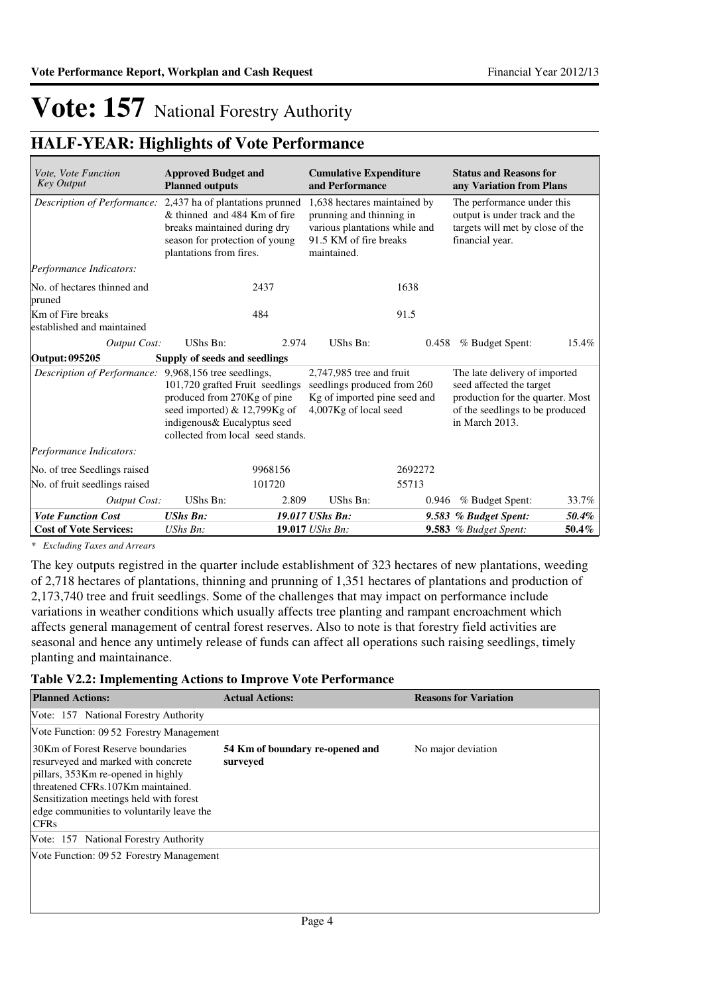## **HALF-YEAR: Highlights of Vote Performance**

| <i>Vote, Vote Function</i><br><b>Key Output</b> | <b>Approved Budget and</b><br><b>Planned outputs</b>                                                                                                                                             | <b>Cumulative Expenditure</b><br>and Performance                                                                                   | <b>Status and Reasons for</b><br>any Variation from Plans                                                                                          |       |
|-------------------------------------------------|--------------------------------------------------------------------------------------------------------------------------------------------------------------------------------------------------|------------------------------------------------------------------------------------------------------------------------------------|----------------------------------------------------------------------------------------------------------------------------------------------------|-------|
| Description of Performance:                     | 2,437 ha of plantations prunned<br>& thinned and 484 Km of fire<br>breaks maintained during dry<br>season for protection of young<br>plantations from fires.                                     | 1,638 hectares maintained by<br>prunning and thinning in<br>various plantations while and<br>91.5 KM of fire breaks<br>maintained. | The performance under this<br>output is under track and the<br>targets will met by close of the<br>financial year.                                 |       |
| Performance Indicators:                         |                                                                                                                                                                                                  |                                                                                                                                    |                                                                                                                                                    |       |
| No. of hectares thinned and<br>pruned           | 2437                                                                                                                                                                                             | 1638                                                                                                                               |                                                                                                                                                    |       |
| Km of Fire breaks<br>established and maintained | 484                                                                                                                                                                                              | 91.5                                                                                                                               |                                                                                                                                                    |       |
| <b>Output Cost:</b>                             | UShs Bn:<br>2.974                                                                                                                                                                                | UShs Bn:                                                                                                                           | % Budget Spent:<br>0.458                                                                                                                           | 15.4% |
| Output: 095205                                  | Supply of seeds and seedlings                                                                                                                                                                    |                                                                                                                                    |                                                                                                                                                    |       |
| Description of Performance:                     | 9,968,156 tree seedlings,<br>101,720 grafted Fruit seedlings<br>produced from 270Kg of pine<br>seed imported) & 12,799Kg of<br>indigenous & Eucalyptus seed<br>collected from local seed stands. | $2,747,985$ tree and fruit<br>seedlings produced from 260<br>Kg of imported pine seed and<br>4,007Kg of local seed                 | The late delivery of imported<br>seed affected the target<br>production for the quarter. Most<br>of the seedlings to be produced<br>in March 2013. |       |
| Performance Indicators:                         |                                                                                                                                                                                                  |                                                                                                                                    |                                                                                                                                                    |       |
| No. of tree Seedlings raised                    | 9968156                                                                                                                                                                                          | 2692272                                                                                                                            |                                                                                                                                                    |       |
| No. of fruit seedlings raised                   | 101720                                                                                                                                                                                           | 55713                                                                                                                              |                                                                                                                                                    |       |
| Output Cost:                                    | UShs Bn:<br>2.809                                                                                                                                                                                | UShs Bn:                                                                                                                           | % Budget Spent:<br>0.946                                                                                                                           | 33.7% |
| <b>Vote Function Cost</b>                       | <b>UShs Bn:</b>                                                                                                                                                                                  | 19.017 UShs Bn:                                                                                                                    | 9.583 % Budget Spent:                                                                                                                              | 50.4% |
| <b>Cost of Vote Services:</b>                   | UShs Bn:                                                                                                                                                                                         | 19.017 UShs Bn:                                                                                                                    | <b>9.583</b> % Budget Spent:                                                                                                                       | 50.4% |

*\* Excluding Taxes and Arrears*

The key outputs registred in the quarter include establishment of 323 hectares of new plantations, weeding of 2,718 hectares of plantations, thinning and prunning of 1,351 hectares of plantations and production of 2,173,740 tree and fruit seedlings. Some of the challenges that may impact on performance include variations in weather conditions which usually affects tree planting and rampant encroachment which affects general management of central forest reserves. Also to note is that forestry field activities are seasonal and hence any untimely release of funds can affect all operations such raising seedlings, timely planting and maintainance.

### **Table V2.2: Implementing Actions to Improve Vote Performance**

| <b>Planned Actions:</b>                                                                                                                                                                                                                                    | <b>Actual Actions:</b>                      | <b>Reasons for Variation</b> |
|------------------------------------------------------------------------------------------------------------------------------------------------------------------------------------------------------------------------------------------------------------|---------------------------------------------|------------------------------|
| Vote: 157 National Forestry Authority                                                                                                                                                                                                                      |                                             |                              |
| Vote Function: 09.52 Forestry Management                                                                                                                                                                                                                   |                                             |                              |
| 30Km of Forest Reserve boundaries<br>resurveyed and marked with concrete<br>pillars, 353Km re-opened in highly<br>threatened CFRs.107Km maintained.<br>Sensitization meetings held with forest<br>edge communities to voluntarily leave the<br><b>CFRs</b> | 54 Km of boundary re-opened and<br>surveyed | No major deviation           |
| Vote: 157 National Forestry Authority                                                                                                                                                                                                                      |                                             |                              |
| Vote Function: 09.52 Forestry Management                                                                                                                                                                                                                   |                                             |                              |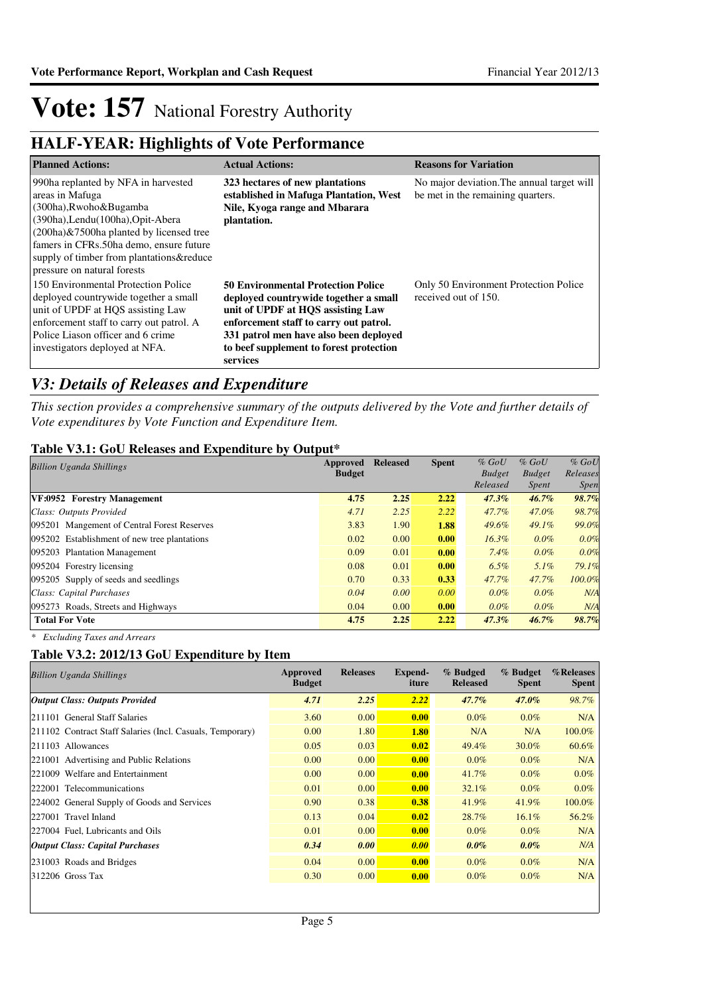## **HALF-YEAR: Highlights of Vote Performance**

| <b>Planned Actions:</b>                                                                                                                                                                                                                                                                  | <b>Actual Actions:</b>                                                                                                                                                                                                                                             | <b>Reasons for Variation</b>                                                    |
|------------------------------------------------------------------------------------------------------------------------------------------------------------------------------------------------------------------------------------------------------------------------------------------|--------------------------------------------------------------------------------------------------------------------------------------------------------------------------------------------------------------------------------------------------------------------|---------------------------------------------------------------------------------|
| 990ha replanted by NFA in harvested<br>areas in Mafuga<br>(300ha), Rwoho& Bugamba<br>(390ha), Lendu(100ha), Opit-Abera<br>(200ha)&7500ha planted by licensed tree<br>famers in CFRs.50ha demo, ensure future<br>supply of timber from plantations& reduce<br>pressure on natural forests | 323 hectares of new plantations<br>established in Mafuga Plantation, West<br>Nile, Kyoga range and Mbarara<br>plantation.                                                                                                                                          | No major deviation. The annual target will<br>be met in the remaining quarters. |
| 150 Environmental Protection Police<br>deployed countrywide together a small<br>unit of UPDF at HQS assisting Law<br>enforcement staff to carry out patrol. A<br>Police Liason officer and 6 crime<br>investigators deployed at NFA.                                                     | <b>50 Environmental Protection Police</b><br>deployed countrywide together a small<br>unit of UPDF at HQS assisting Law<br>enforcement staff to carry out patrol.<br>331 patrol men have also been deployed<br>to beef supplement to forest protection<br>services | Only 50 Environment Protection Police<br>received out of 150.                   |

## *V3: Details of Releases and Expenditure*

*This section provides a comprehensive summary of the outputs delivered by the Vote and further details of Vote expenditures by Vote Function and Expenditure Item.*

### **Table V3.1: GoU Releases and Expenditure by Output\***

| <b>Billion Uganda Shillings</b>              | Approved      | <b>Released</b> | <b>Spent</b> | $%$ GoU       | $%$ GoU       | $%$ GoU     |
|----------------------------------------------|---------------|-----------------|--------------|---------------|---------------|-------------|
|                                              | <b>Budget</b> |                 |              | <b>Budget</b> | <b>Budget</b> | Releases    |
|                                              |               |                 |              | Released      | <i>Spent</i>  | <i>Spen</i> |
| VF:0952 Forestry Management                  | 4.75          | 2.25            | 2.22         | $47.3\%$      | $46.7\%$      | 98.7%       |
| Class: Outputs Provided                      | 4.71          | 2.25            | 2.22         | 47.7%         | 47.0%         | 98.7%       |
| 095201 Mangement of Central Forest Reserves  | 3.83          | 1.90            | 1.88         | 49.6%         | $49.1\%$      | 99.0%       |
| 095202 Establishment of new tree plantations | 0.02          | 0.00            | 0.00         | $16.3\%$      | $0.0\%$       | 0.0%        |
| 095203 Plantation Management                 | 0.09          | 0.01            | 0.00         | 7.4%          | $0.0\%$       | 0.0%        |
| 095204 Forestry licensing                    | 0.08          | 0.01            | 0.00         | $6.5\%$       | $5.1\%$       | 79.1%       |
| 095205 Supply of seeds and seedlings         | 0.70          | 0.33            | 0.33         | 47.7%         | 47.7%         | 100.0%      |
| Class: Capital Purchases                     | 0.04          | 0.00            | 0.00         | $0.0\%$       | $0.0\%$       | N/A         |
| 095273 Roads, Streets and Highways           | 0.04          | 0.00            | 0.00         | $0.0\%$       | $0.0\%$       | N/A         |
| <b>Total For Vote</b>                        | 4.75          | 2.25            | 2.22         | $47.3\%$      | $46.7\%$      | 98.7%       |

*\* Excluding Taxes and Arrears*

### **Table V3.2: 2012/13 GoU Expenditure by Item**

| <b>Billion Uganda Shillings</b>                           | Approved<br><b>Budget</b> | <b>Releases</b> | Expend-<br>iture | % Budged<br><b>Released</b> | % Budget<br><b>Spent</b> | %Releases<br><b>Spent</b> |
|-----------------------------------------------------------|---------------------------|-----------------|------------------|-----------------------------|--------------------------|---------------------------|
| <b>Output Class: Outputs Provided</b>                     | 4.71                      | 2.25            | 2.22             | $47.7\%$                    | $47.0\%$                 | 98.7%                     |
| 211101 General Staff Salaries                             | 3.60                      | 0.00            | 0.00             | $0.0\%$                     | $0.0\%$                  | N/A                       |
| 211102 Contract Staff Salaries (Incl. Casuals, Temporary) | 0.00                      | 1.80            | <b>1.80</b>      | N/A                         | N/A                      | 100.0%                    |
| 211103 Allowances                                         | 0.05                      | 0.03            | 0.02             | 49.4%                       | 30.0%                    | 60.6%                     |
| 221001 Advertising and Public Relations                   | 0.00                      | 0.00            | 0.00             | $0.0\%$                     | $0.0\%$                  | N/A                       |
| 221009 Welfare and Entertainment                          | 0.00                      | 0.00            | 0.00             | 41.7%                       | $0.0\%$                  | $0.0\%$                   |
| 222001 Telecommunications                                 | 0.01                      | 0.00            | 0.00             | 32.1%                       | $0.0\%$                  | $0.0\%$                   |
| 224002 General Supply of Goods and Services               | 0.90                      | 0.38            | 0.38             | 41.9%                       | 41.9%                    | 100.0%                    |
| 227001 Travel Inland                                      | 0.13                      | 0.04            | 0.02             | 28.7%                       | $16.1\%$                 | 56.2%                     |
| 227004 Fuel, Lubricants and Oils                          | 0.01                      | 0.00            | 0.00             | $0.0\%$                     | $0.0\%$                  | N/A                       |
| Output Class: Capital Purchases                           | 0.34                      | 0.00            | 0.00             | $0.0\%$                     | $0.0\%$                  | N/A                       |
| 231003 Roads and Bridges                                  | 0.04                      | 0.00            | 0.00             | $0.0\%$                     | $0.0\%$                  | N/A                       |
| $312206$ Gross Tax                                        | 0.30                      | 0.00            | 0.00             | $0.0\%$                     | $0.0\%$                  | N/A                       |
|                                                           |                           |                 |                  |                             |                          |                           |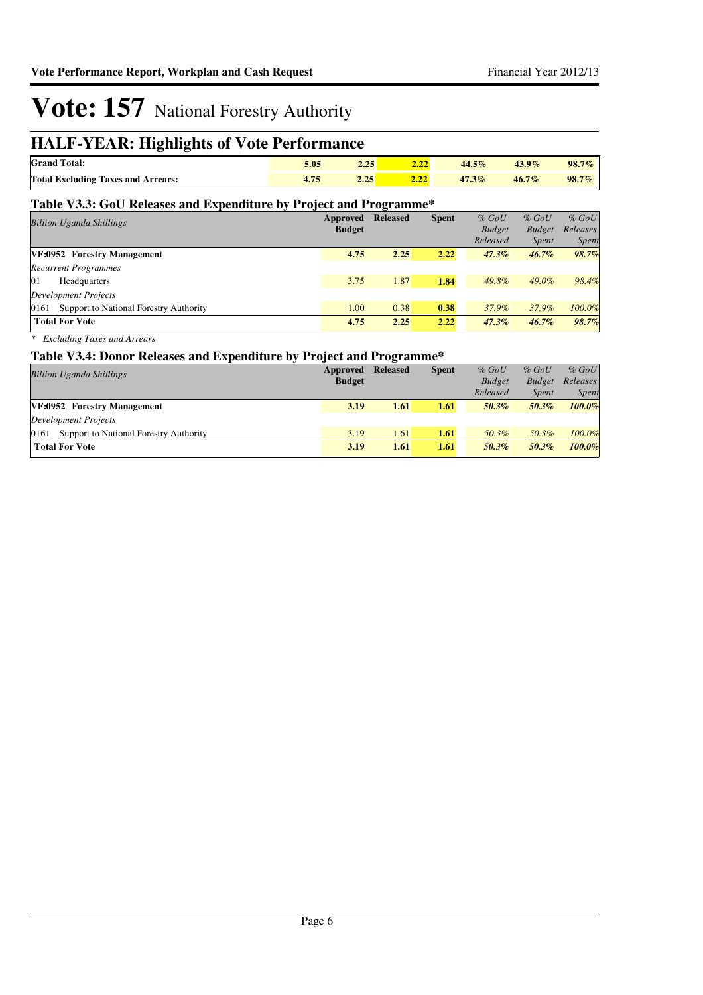## **HALF-YEAR: Highlights of Vote Performance**

| <b>Grand Total:</b>                       | نواباه | $44.5\%$ | $43.9\%$ | $98.7\%$ |
|-------------------------------------------|--------|----------|----------|----------|
| <b>Total Excluding Taxes and Arrears:</b> | 4.40   | $47.3\%$ | $46.7\%$ | $98.7\%$ |

### **Table V3.3: GoU Releases and Expenditure by Project and Programme\***

| $%$ GoU<br>$%$ GoU           | $%$ GoU       | <b>Spent</b> | <b>Released</b> | Approved      | <b>Billion Uganda Shillings</b>                |
|------------------------------|---------------|--------------|-----------------|---------------|------------------------------------------------|
| Releases<br><b>Budget</b>    | <b>Budget</b> |              |                 | <b>Budget</b> |                                                |
| <i>Spent</i><br><i>Spent</i> | Released      |              |                 |               |                                                |
| 98.7%<br>$46.7\%$            | $47.3\%$      | 2.22         | 2.25            | 4.75          | VF:0952 Forestry Management                    |
|                              |               |              |                 |               | <b>Recurrent Programmes</b>                    |
| 98.4%<br>$49.0\%$            | 49.8%         | 1.84         | 1.87            | 3.75          | 01<br>Headquarters                             |
|                              |               |              |                 |               | <b>Development Projects</b>                    |
| 100.0%<br>37.9%              | 37.9%         | 0.38         | 0.38            | 1.00          | 0161<br>Support to National Forestry Authority |
| 98.7%<br>$46.7\%$            | $47.3\%$      | 2.22         | 2.25            | 4.75          | <b>Total For Vote</b>                          |
|                              |               |              |                 |               |                                                |

*\* Excluding Taxes and Arrears*

### **Table V3.4: Donor Releases and Expenditure by Project and Programme\***

|                                             |               | . .             |              |               |               |              |
|---------------------------------------------|---------------|-----------------|--------------|---------------|---------------|--------------|
| <b>Billion Uganda Shillings</b>             | Approved      | <b>Released</b> | <b>Spent</b> | $%$ GoU       | $%$ GoU       | $%$ GoU      |
|                                             | <b>Budget</b> |                 |              | <b>Budget</b> | <b>Budget</b> | Releases     |
|                                             |               |                 |              | Released      | <i>Spent</i>  | <b>Spent</b> |
| VF:0952 Forestry Management                 | 3.19          | 1.61            | 1.61         | 50.3%         | 50.3%         | $100.0\%$    |
| Development Projects                        |               |                 |              |               |               |              |
| 0161 Support to National Forestry Authority | 3.19          | 1.61            | 1.61         | 50.3%         | 50.3%         | 100.0%       |
| <b>Total For Vote</b>                       | 3.19          | 1.61            | 1.61         | 50.3%         | 50.3%         | 100.0%       |
|                                             |               |                 |              |               |               |              |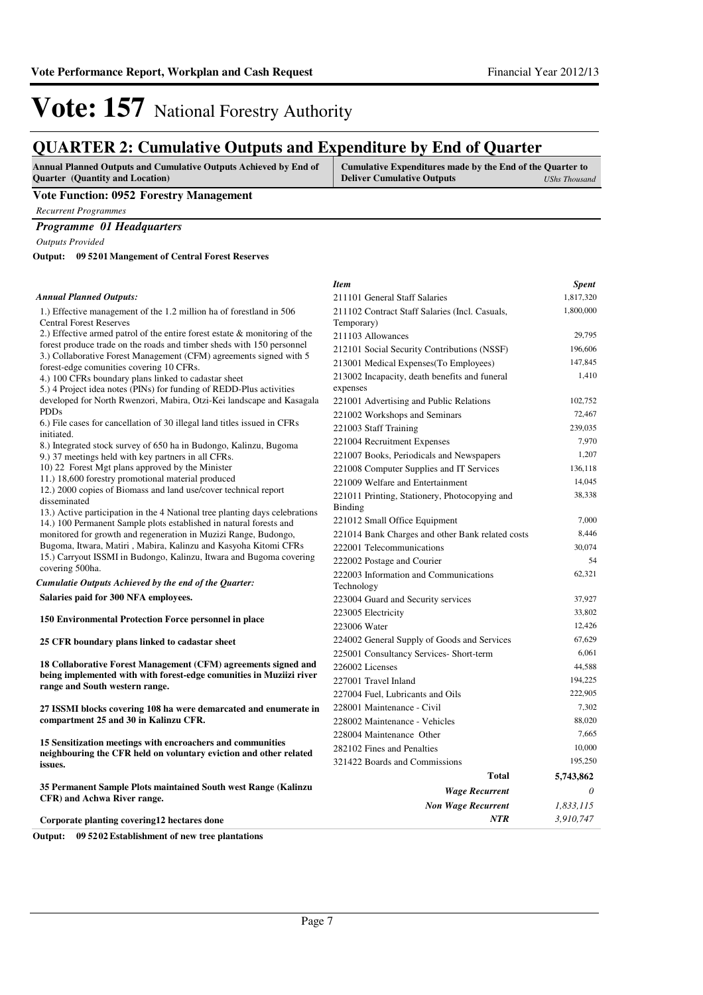*3,910,747*

*NTR*

# **Vote: 157** National Forestry Authority

## **QUARTER 2: Cumulative Outputs and Expenditure by End of Quarter**

| <b>Annual Planned Outputs and Cumulative Outputs Achieved by End of</b> | Cumulative Expenditures made by the End of the Quarter to |               |
|-------------------------------------------------------------------------|-----------------------------------------------------------|---------------|
| <b>Ouarter</b> (Quantity and Location)                                  | <b>Deliver Cumulative Outputs</b>                         | UShs Thousand |
|                                                                         |                                                           |               |

#### **Vote Function: 0952 Forestry Management**

*Recurrent Programmes*

### *Programme 01 Headquarters*

*Outputs Provided*

**09 5201 Mangement of Central Forest Reserves Output:**

#### 1.) Effective management of the 1.2 million ha of forestland in 506 Central Forest Reserves 2.) Effective armed patrol of the entire forest estate & monitoring of the forest produce trade on the roads and timber sheds with 150 personnel 3.) Collaborative Forest Management (CFM) agreements signed with 5 forest-edge comunities covering 10 CFRs. 4.) 100 CFRs boundary plans linked to cadastar sheet 5.) 4 Project idea notes (PINs) for funding of REDD-Plus activities developed for North Rwenzori, Mabira, Otzi-Kei landscape and Kasagala PDDs 6.) File cases for cancellation of 30 illegal land titles issued in CFRs initiated. 8.) Integrated stock survey of 650 ha in Budongo, Kalinzu, Bugoma 9.) 37 meetings held with key partners in all CFRs. 10) 22 Forest Mgt plans approved by the Minister 11.) 18,600 forestry promotional material produced 12.) 2000 copies of Biomass and land use/cover technical report disseminated 13.) Active participation in the 4 National tree planting days celebrations 14.) 100 Permanent Sample plots established in natural forests and monitored for growth and regeneration in Muzizi Range, Budongo, Bugoma, Itwara, Matiri , Mabira, Kalinzu and Kasyoha Kitomi CFRs 15.) Carryout ISSMI in Budongo, Kalinzu, Itwara and Bugoma covering covering 500ha. **Salaries paid for 300 NFA employees. 150 Environmental Protection Force personnel in place 25 CFR boundary plans linked to cadastar sheet 18 Collaborative Forest Management (CFM) agreements signed and being implemented with with forest-edge comunities in Muziizi river range and South western range. 27 ISSMI blocks covering 108 ha were demarcated and enumerate in compartment 25 and 30 in Kalinzu CFR. 15 Sensitization meetings with encroachers and communities neighbouring the CFR held on voluntary eviction and other related issues. 35 Permanent Sample Plots maintained South west Range (Kalinzu CFR) and Achwa River range.** *Wage Recurrent Non Wage Recurrent* **Total** *0 1,833,115* **5,743,862** *Cumulatie Outputs Achieved by the end of the Quarter: Annual Planned Outputs: Item Spent* 211101 General Staff Salaries 1,817,320 211102 Contract Staff Salaries (Incl. Casuals, Temporary) 1,800,000 211103 Allowances 29,795 212101 Social Security Contributions (NSSF) 196,606 213001 Medical Expenses(To Employees) 147,845 213002 Incapacity, death benefits and funeral expenses 1,410 221001 Advertising and Public Relations 102,752 221002 Workshops and Seminars 72,467 221003 Staff Training 239,035 221004 Recruitment Expenses 7,970 221007 Books, Periodicals and Newspapers 1,207 221008 Computer Supplies and IT Services 136,118 221009 Welfare and Entertainment 14,045 221011 Printing, Stationery, Photocopying and Binding 38,338 221012 Small Office Equipment 7,000 221014 Bank Charges and other Bank related costs 8,446 222001 Telecommunications 30,074 222002 Postage and Courier 54 222003 Information and Communications Technology 62,321 223004 Guard and Security services 37,927 223005 Electricity 33,802 223006 Water 12,426 224002 General Supply of Goods and Services 67,629 225001 Consultancy Services- Short-term 6,061 226002 Licenses 44,588 227001 Travel Inland 194,225 227004 Fuel, Lubricants and Oils 222,905 228001 Maintenance - Civil 7,302 228002 Maintenance - Vehicles 88,020 228004 Maintenance Other 7,665 282102 Fines and Penalties 10,000 321422 Boards and Commissions 195,250

**Corporate planting covering12 hectares done**

**Output: 09 5202 Establishment of new tree plantations**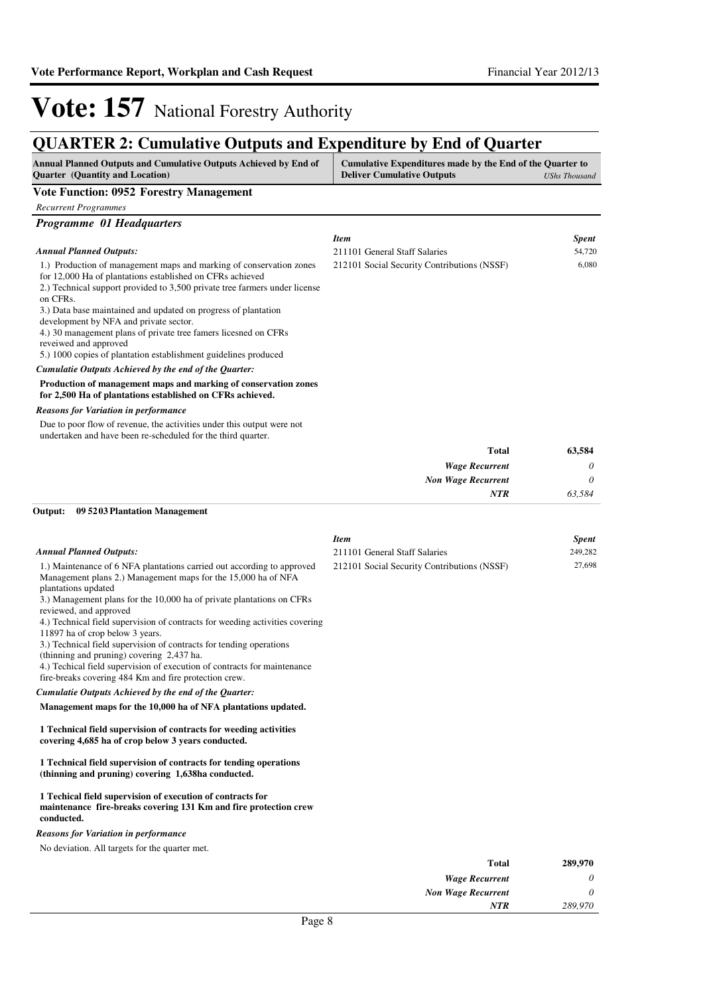*Item Spent* 211101 General Staff Salaries 54,720 212101 Social Security Contributions (NSSF) 6,080

# **Vote: 157** National Forestry Authority

### **QUARTER 2: Cumulative Outputs and Expenditure by End of Quarter**

| <b>Annual Planned Outputs and Cumulative Outputs Achieved by End of</b> | Cumulative Expenditures made by the End of the Quarter to |
|-------------------------------------------------------------------------|-----------------------------------------------------------|
| <b>Ouarter</b> (Quantity and Location)                                  | <b>Deliver Cumulative Outputs</b><br>UShs Thousand        |
| <b>TT / TT</b><br>$0.052$ m                                             |                                                           |

#### **Vote Function: 0952 Forestry Management**

*Recurrent Programmes*

### *Programme 01 Headquarters* 1.) Production of management maps and marking of conservation zones *Annual Planned Outputs:*

| 1.) I FOQUETION OF Management maps and marking of conservation zones       |
|----------------------------------------------------------------------------|
| for 12,000 Ha of plantations established on CFRs achieved                  |
| 2.) Technical support provided to 3,500 private tree farmers under license |
| on CFRs.                                                                   |
| ___                                                                        |

3.) Data base maintained and updated on progress of plantation

development by NFA and private sector.

4.) 30 management plans of private tree famers licesned on CFRs

reveiwed and approved

5.) 1000 copies of plantation establishment guidelines produced

*Cumulatie Outputs Achieved by the end of the Quarter:*

#### **Production of management maps and marking of conservation zones for 2,500 Ha of plantations established on CFRs achieved.**

#### *Reasons for Variation in performance*

Due to poor flow of revenue, the activities under this output were not undertaken and have been re-scheduled for the third quarter.

| <b>Total</b>              |
|---------------------------|
| <b>Wage Recurrent</b>     |
| <b>Non Wage Recurrent</b> |
| <b>NTR</b>                |
|                           |

#### **09 5203 Plantation Management Output:**

#### 1.) Maintenance of 6 NFA plantations carried out according to approved Management plans 2.) Management maps for the 15,000 ha of NFA plantations updated 3.) Management plans for the 10,000 ha of private plantations on CFRs reviewed, and approved 4.) Technical field supervision of contracts for weeding activities covering 11897 ha of crop below 3 years. 3.) Technical field supervision of contracts for tending operations (thinning and pruning) covering 2,437 ha. 4.) Techical field supervision of execution of contracts for maintenance fire-breaks covering 484 Km and fire protection crew. **Management maps for the 10,000 ha of NFA plantations updated. 1 Technical field supervision of contracts for weeding activities covering 4,685 ha of crop below 3 years conducted. 1 Technical field supervision of contracts for tending operations (thinning and pruning) covering 1,638ha conducted. 1 Techical field supervision of execution of contracts for**  *Cumulatie Outputs Achieved by the end of the Quarter: Annual Planned Outputs: Item Spent* 211101 General Staff Salaries 249,282 212101 Social Security Contributions (NSSF) 27,698

#### **maintenance fire-breaks covering 131 Km and fire protection crew conducted.**

#### *Reasons for Variation in performance*

No deviation. All targets for the quarter met.

| 289,970 | <b>Total</b>              |
|---------|---------------------------|
| 0       | <b>Wage Recurrent</b>     |
| 0       | <b>Non Wage Recurrent</b> |
| 289,970 | <b>NTR</b>                |
|         | $\mathbf{r}$ $\alpha$     |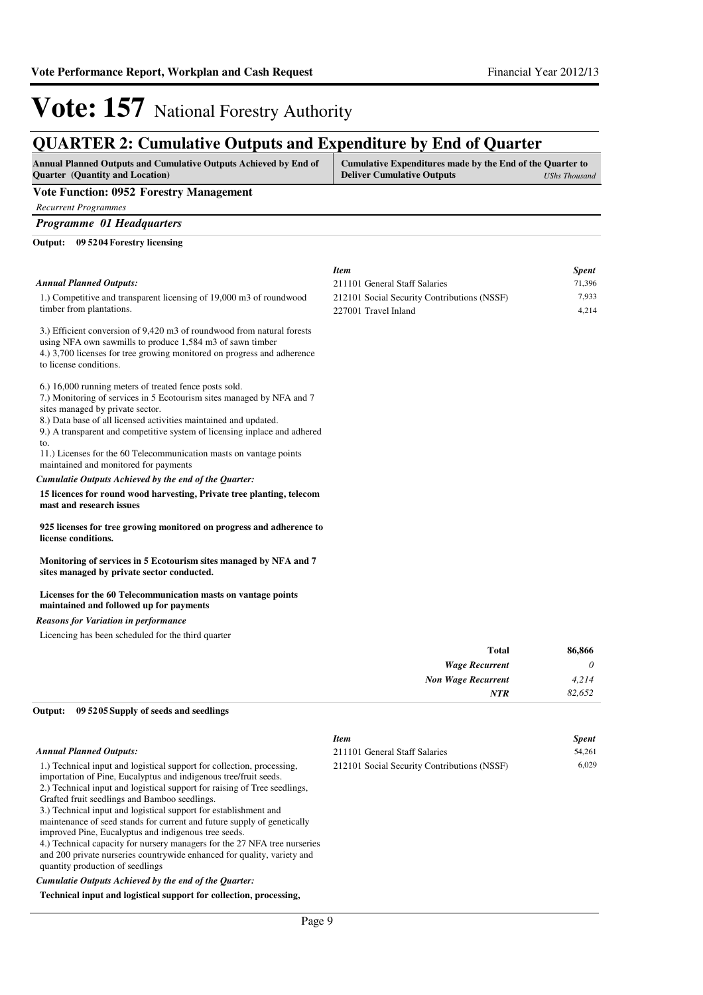## **QUARTER 2: Cumulative Outputs and Expenditure by End of Quarter**

| <b>Annual Planned Outputs and Cumulative Outputs Achieved by End of</b><br><b>Ouarter</b> (Quantity and Location)                   | Cumulative Expenditures made by the End of the Quarter to<br><b>Deliver Cumulative Outputs</b> | <b>UShs Thousand</b> |
|-------------------------------------------------------------------------------------------------------------------------------------|------------------------------------------------------------------------------------------------|----------------------|
| Vote Function: 0952 Forestry Management                                                                                             |                                                                                                |                      |
| <b>Recurrent Programmes</b>                                                                                                         |                                                                                                |                      |
| <b>Programme 01 Headquarters</b>                                                                                                    |                                                                                                |                      |
| 09 5204 Forestry licensing<br>Output:                                                                                               |                                                                                                |                      |
|                                                                                                                                     | <b>Item</b>                                                                                    | <b>Spent</b>         |
| <b>Annual Planned Outputs:</b>                                                                                                      | 211101 General Staff Salaries                                                                  | 71,396               |
| 1.) Competitive and transparent licensing of 19,000 m3 of roundwood                                                                 | 212101 Social Security Contributions (NSSF)                                                    | 7,933                |
| timber from plantations.                                                                                                            | 227001 Travel Inland                                                                           | 4,214                |
| 3.) Efficient conversion of 9,420 m3 of roundwood from natural forests<br>using NFA own sawmills to produce 1,584 m3 of sawn timber |                                                                                                |                      |

4.) 3,700 licenses for tree growing monitored on progress and adherence to license conditions.

6.) 16,000 running meters of treated fence posts sold.

7.) Monitoring of services in 5 Ecotourism sites managed by NFA and 7 sites managed by private sector.

8.) Data base of all licensed activities maintained and updated.

9.) A transparent and competitive system of licensing inplace and adhered to.

11.) Licenses for the 60 Telecommunication masts on vantage points maintained and monitored for payments

#### *Cumulatie Outputs Achieved by the end of the Quarter:*

**15 licences for round wood harvesting, Private tree planting, telecom mast and research issues** 

**925 licenses for tree growing monitored on progress and adherence to license conditions.**

**Monitoring of services in 5 Ecotourism sites managed by NFA and 7 sites managed by private sector conducted.**

#### **Licenses for the 60 Telecommunication masts on vantage points maintained and followed up for payments**

#### *Reasons for Variation in performance*

Licencing has been scheduled for the third quarter

| 86,866   | <b>Total</b>              |
|----------|---------------------------|
| $\theta$ | <b>Wage Recurrent</b>     |
| 4,214    | <b>Non Wage Recurrent</b> |
| 82,652   | <b>NTR</b>                |
|          |                           |

#### **09 5205 Supply of seeds and seedlings Output:**

|                                                                                                                                                                                                                                                                                                                                                                                                                                                                                                                                                                                                                                                                             | <b>Item</b>                                 | <b>Spent</b> |
|-----------------------------------------------------------------------------------------------------------------------------------------------------------------------------------------------------------------------------------------------------------------------------------------------------------------------------------------------------------------------------------------------------------------------------------------------------------------------------------------------------------------------------------------------------------------------------------------------------------------------------------------------------------------------------|---------------------------------------------|--------------|
| Annual Planned Outputs:                                                                                                                                                                                                                                                                                                                                                                                                                                                                                                                                                                                                                                                     | 211101 General Staff Salaries               | 54,261       |
| 1.) Technical input and logistical support for collection, processing,<br>importation of Pine, Eucalyptus and indigenous tree/fruit seeds.<br>2.) Technical input and logistical support for raising of Tree seedlings,<br>Grafted fruit seedlings and Bamboo seedlings.<br>3.) Technical input and logistical support for establishment and<br>maintenance of seed stands for current and future supply of genetically<br>improved Pine, Eucalyptus and indigenous tree seeds.<br>4.) Technical capacity for nursery managers for the 27 NFA tree nurseries<br>and 200 private nurseries countrywide enhanced for quality, variety and<br>quantity production of seedlings | 212101 Social Security Contributions (NSSF) | 6.029        |
| Cumulatie Outputs Achieved by the end of the Ouarter:                                                                                                                                                                                                                                                                                                                                                                                                                                                                                                                                                                                                                       |                                             |              |
|                                                                                                                                                                                                                                                                                                                                                                                                                                                                                                                                                                                                                                                                             |                                             |              |

#### **Technical input and logistical support for collection, processing,**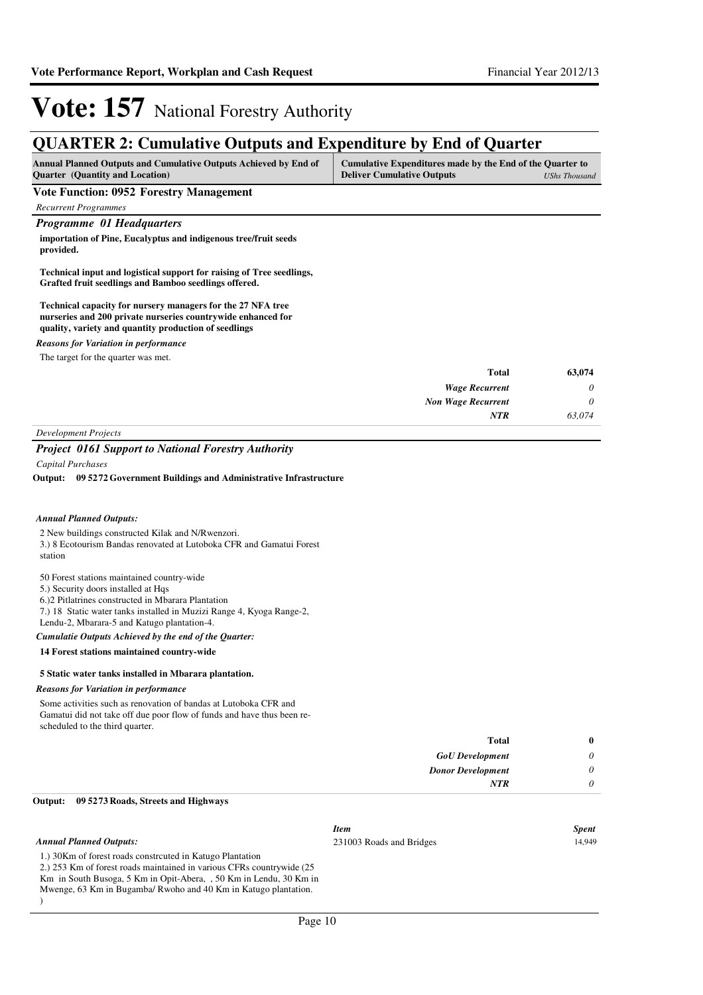## **QUARTER 2: Cumulative Outputs and Expenditure by End of Quarter**

| <b>Annual Planned Outputs and Cumulative Outputs Achieved by End of</b> | Cumulative Expenditures made by the End of the Quarter to |               |
|-------------------------------------------------------------------------|-----------------------------------------------------------|---------------|
| <b>Ouarter</b> (Quantity and Location)                                  | <b>Deliver Cumulative Outputs</b>                         | UShs Thousand |

#### **Vote Function: 0952 Forestry Management**

*Recurrent Programmes*

#### *Programme 01 Headquarters*

**importation of Pine, Eucalyptus and indigenous tree/fruit seeds provided.**

#### **Technical input and logistical support for raising of Tree seedlings, Grafted fruit seedlings and Bamboo seedlings offered.**

**Technical capacity for nursery managers for the 27 NFA tree nurseries and 200 private nurseries countrywide enhanced for quality, variety and quantity production of seedlings**

#### *Reasons for Variation in performance*

The target for the quarter was met.

| 63,074   | Total                     |
|----------|---------------------------|
| $\theta$ | <b>Wage Recurrent</b>     |
| 0        | <b>Non Wage Recurrent</b> |
| 63,074   | <b>NTR</b>                |
|          | __<br>__                  |

*Development Projects*

#### *Project 0161 Support to National Forestry Authority*

*Capital Purchases*

**09 5272 Government Buildings and Administrative Infrastructure Output:**

#### *Annual Planned Outputs:*

2 New buildings constructed Kilak and N/Rwenzori. 3.) 8 Ecotourism Bandas renovated at Lutoboka CFR and Gamatui Forest station

#### 50 Forest stations maintained country-wide

5.) Security doors installed at Hqs

- 6.)2 Pitlatrines constructed in Mbarara Plantation
- 7.) 18 Static water tanks installed in Muzizi Range 4, Kyoga Range-2,

#### Lendu-2, Mbarara-5 and Katugo plantation-4.

*Cumulatie Outputs Achieved by the end of the Quarter:*

#### **14 Forest stations maintained country-wide**

#### **5 Static water tanks installed in Mbarara plantation.**

#### *Reasons for Variation in performance*

Some activities such as renovation of bandas at Lutoboka CFR and Gamatui did not take off due poor flow of funds and have thus been rescheduled to the third quarter.

| $\bf{0}$ | <b>Total</b>             |
|----------|--------------------------|
| 0        | <b>GoU</b> Development   |
| 0        | <b>Donor Development</b> |
| 0        | NTR                      |
|          |                          |

#### **09 5273 Roads, Streets and Highways Output:**

*Annual Planned Outputs:*

*Item Spent*

231003 Roads and Bridges 14,949

1.) 30Km of forest roads constrcuted in Katugo Plantation 2.) 253 Km of forest roads maintained in various CFRs countrywide (25 Km in South Busoga, 5 Km in Opit-Abera, , 50 Km in Lendu, 30 Km in Mwenge, 63 Km in Bugamba/ Rwoho and 40 Km in Katugo plantation. )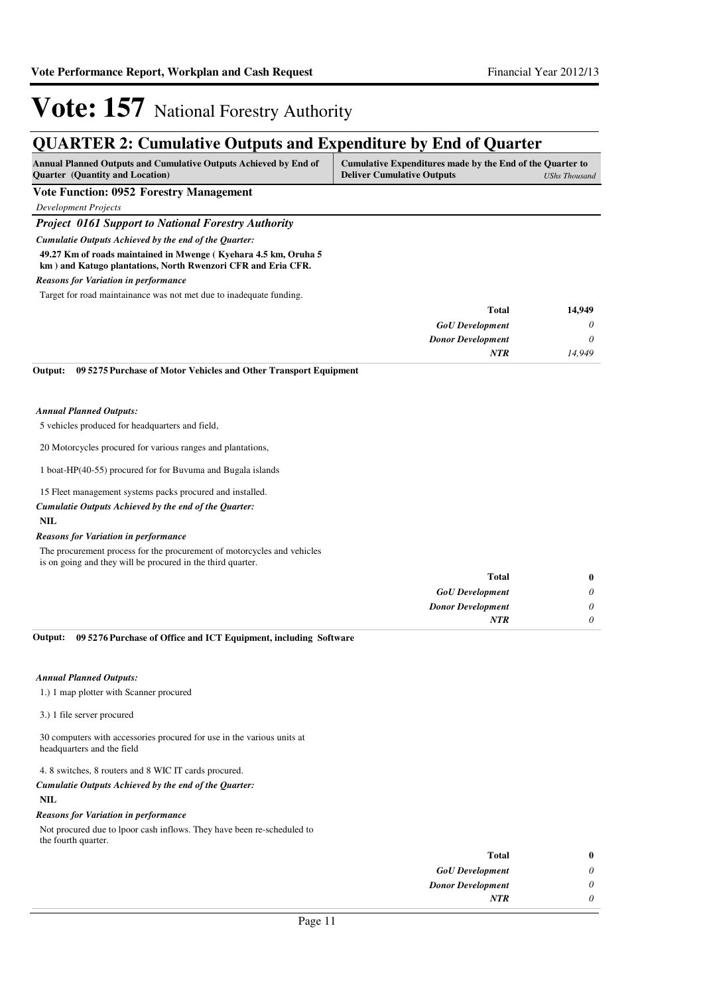## **QUARTER 2: Cumulative Outputs and Expenditure by End of Quarter**

| <b>Annual Planned Outputs and Cumulative Outputs Achieved by End of</b> | Cumulative Expenditures made by the End of the Quarter to |  |
|-------------------------------------------------------------------------|-----------------------------------------------------------|--|
| <b>Ouarter</b> (Quantity and Location)                                  | <b>Deliver Cumulative Outputs</b><br>UShs Thousand        |  |

#### **Vote Function: 0952 Forestry Management**

*Development Projects*

#### *Project 0161 Support to National Forestry Authority*

*Cumulatie Outputs Achieved by the end of the Quarter:*

**49.27 Km of roads maintained in Mwenge ( Kyehara 4.5 km, Oruha 5 km ) and Katugo plantations, North Rwenzori CFR and Eria CFR.**

#### *Reasons for Variation in performance*

Target for road maintainance was not met due to inadequate funding.

| <b>Total</b>             |
|--------------------------|
| <b>GoU</b> Development   |
| <b>Donor Development</b> |
| <b>NTR</b>               |
|                          |

**09 5275 Purchase of Motor Vehicles and Other Transport Equipment Output:**

#### *Annual Planned Outputs:*

5 vehicles produced for headquarters and field,

20 Motorcycles procured for various ranges and plantations,

1 boat-HP(40-55) procured for for Buvuma and Bugala islands

15 Fleet management systems packs procured and installed.

#### *Cumulatie Outputs Achieved by the end of the Quarter:*

#### **NIL**

#### *Reasons for Variation in performance*

The procurement process for the procurement of motorcycles and vehicles is on going and they will be procured in the third quarter.

|   | <b>Total</b>             |
|---|--------------------------|
|   | <b>GoU</b> Development   |
| 0 | <b>Donor Development</b> |
|   | <b>NTR</b>               |
|   |                          |

**09 5276 Purchase of Office and ICT Equipment, including Software Output:**

#### *Annual Planned Outputs:*

1.) 1 map plotter with Scanner procured

#### 3.) 1 file server procured

30 computers with accessories procured for use in the various units at headquarters and the field

4. 8 switches, 8 routers and 8 WIC IT cards procured.

#### **NIL** *Cumulatie Outputs Achieved by the end of the Quarter:*

#### *Reasons for Variation in performance*

Not procured due to lpoor cash inflows. They have been re-scheduled to the fourth quarter.

| Total                    | 0 |
|--------------------------|---|
| <b>GoU</b> Development   | 0 |
| <b>Donor Development</b> | 0 |
| <b>NTR</b>               |   |
|                          |   |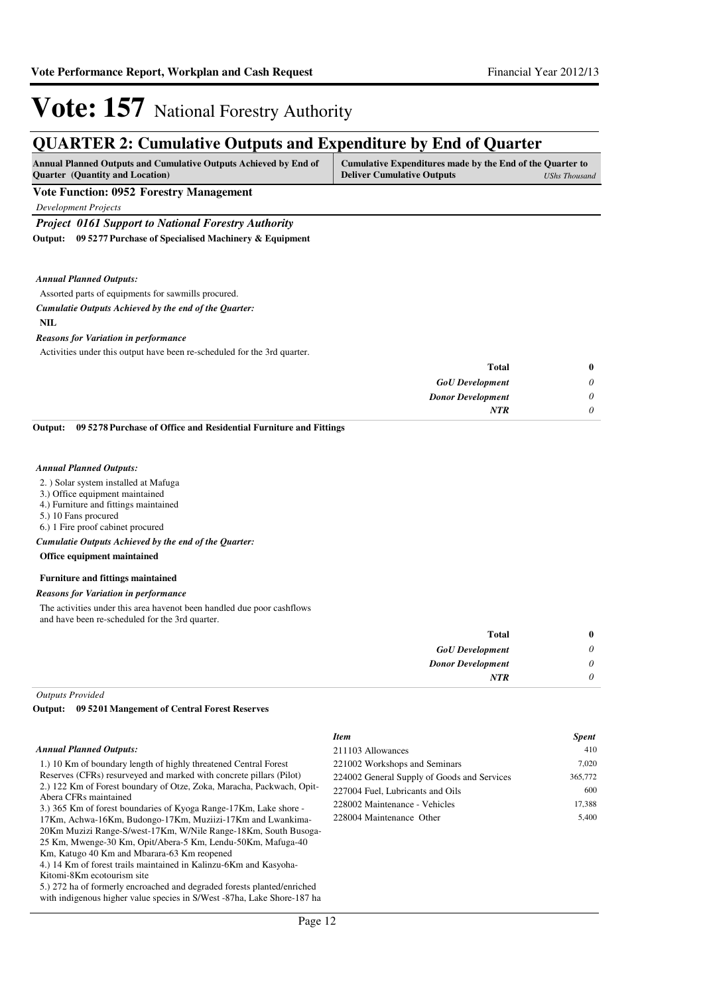**Total** 

# **Vote: 157** National Forestry Authority

## **QUARTER 2: Cumulative Outputs and Expenditure by End of Quarter**

| <b>Annual Planned Outputs and Cumulative Outputs Achieved by End of</b> | Cumulative Expenditures made by the End of the Quarter to |               |
|-------------------------------------------------------------------------|-----------------------------------------------------------|---------------|
| <b>Ouarter</b> (Quantity and Location)                                  | <b>Deliver Cumulative Outputs</b>                         | UShs Thousand |

#### **Vote Function: 0952 Forestry Management**

*Development Projects*

#### *Project 0161 Support to National Forestry Authority*

**09 5277 Purchase of Specialised Machinery & Equipment Output:**

*Annual Planned Outputs:*

#### Assorted parts of equipments for sawmills procured.

#### *Cumulatie Outputs Achieved by the end of the Quarter:*

**NIL**

#### *Reasons for Variation in performance*

Activities under this output have been re-scheduled for the 3rd quarter.

| 0 | Total                    |
|---|--------------------------|
|   | <b>GoU</b> Development   |
|   | <b>Donor Development</b> |
|   | <b>NTR</b>               |
|   |                          |

**09 5278 Purchase of Office and Residential Furniture and Fittings Output:**

#### *Annual Planned Outputs:*

2. ) Solar system installed at Mafuga

- 3.) Office equipment maintained
- 4.) Furniture and fittings maintained
- 5.) 10 Fans procured

6.) 1 Fire proof cabinet procured

**Office equipment maintained** *Cumulatie Outputs Achieved by the end of the Quarter:*

### **Furniture and fittings maintained**

### *Reasons for Variation in performance*

The activities under this area havenot been handled due poor cashflows and have been re-scheduled for the 3rd quarter.

| $\bf{0}$ | <b>Total</b>             |
|----------|--------------------------|
| 0        | <b>GoU</b> Development   |
| 0        | <b>Donor Development</b> |
| 0        | <b>NTR</b>               |
|          |                          |

*Outputs Provided*

#### **09 5201 Mangement of Central Forest Reserves Output:**

#### *Annual Planned Outputs:*

1.) 10 Km of boundary length of highly threatened Central Forest Reserves (CFRs) resurveyed and marked with concrete pillars (Pilot) 2.) 122 Km of Forest boundary of Otze, Zoka, Maracha, Packwach, Opit-Abera CFRs maintained

3.) 365 Km of forest boundaries of Kyoga Range-17Km, Lake shore - 17Km, Achwa-16Km, Budongo-17Km, Muziizi-17Km and Lwankima-20Km Muzizi Range-S/west-17Km, W/Nile Range-18Km, South Busoga-25 Km, Mwenge-30 Km, Opit/Abera-5 Km, Lendu-50Km, Mafuga-40

Km, Katugo 40 Km and Mbarara-63 Km reopened 4.) 14 Km of forest trails maintained in Kalinzu-6Km and Kasyoha-Kitomi-8Km ecotourism site

5.) 272 ha of formerly encroached and degraded forests planted/enriched with indigenous higher value species in S/West -87ha, Lake Shore-187 ha

| <b>Item</b>                                 | <b>Spent</b> |
|---------------------------------------------|--------------|
| 211103 Allowances                           | 410          |
| 221002 Workshops and Seminars               | 7.020        |
| 224002 General Supply of Goods and Services | 365,772      |
| 227004 Fuel, Lubricants and Oils            | 600          |
| 228002 Maintenance - Vehicles               | 17,388       |
| 228004 Maintenance Other                    | 5,400        |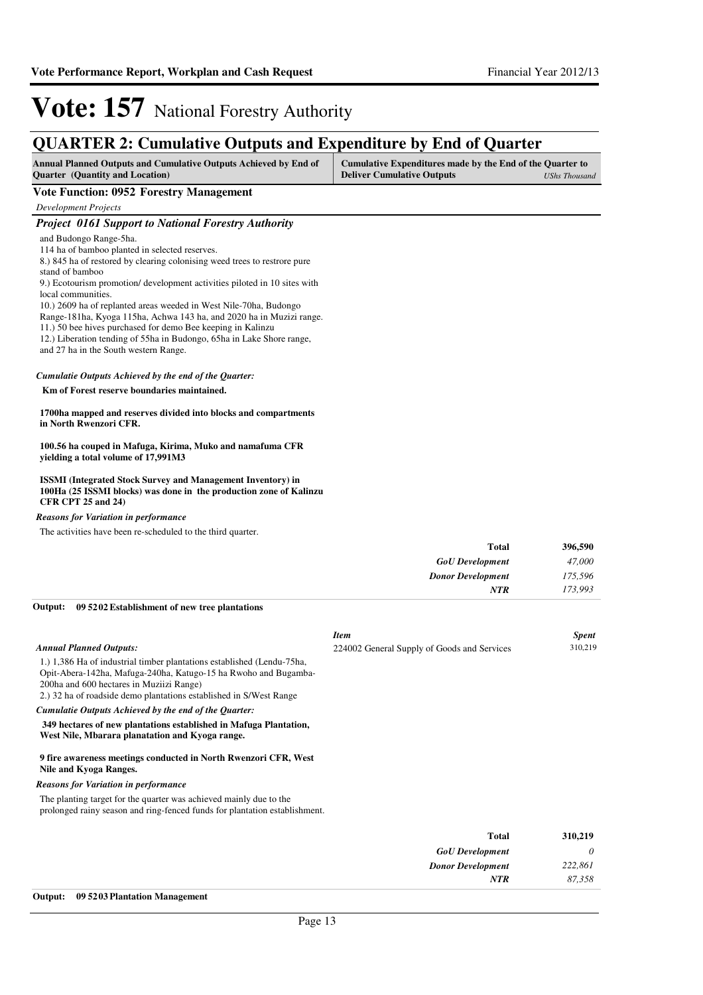### **QUARTER 2: Cumulative Outputs and Expenditure by End of Quarter**

| <b>Annual Planned Outputs and Cumulative Outputs Achieved by End of</b> | Cumulative Expenditures made by the End of the Quarter to |               |
|-------------------------------------------------------------------------|-----------------------------------------------------------|---------------|
| <b>Quarter</b> (Quantity and Location)                                  | <b>Deliver Cumulative Outputs</b>                         | UShs Thousand |

#### **Vote Function: 0952 Forestry Management**

*Development Projects*

### *Project 0161 Support to National Forestry Authority*

and Budongo Range-5ha.

114 ha of bamboo planted in selected reserves.

8.) 845 ha of restored by clearing colonising weed trees to restrore pure stand of bamboo

9.) Ecotourism promotion/ development activities piloted in 10 sites with local communities.

10.) 2609 ha of replanted areas weeded in West Nile-70ha, Budongo

Range-181ha, Kyoga 115ha, Achwa 143 ha, and 2020 ha in Muzizi range.

- 11.) 50 bee hives purchased for demo Bee keeping in Kalinzu 12.) Liberation tending of 55ha in Budongo, 65ha in Lake Shore range,
- and 27 ha in the South western Range.

### *Cumulatie Outputs Achieved by the end of the Quarter:*

 **Km of Forest reserve boundaries maintained.**

#### **1700ha mapped and reserves divided into blocks and compartments in North Rwenzori CFR.**

**100.56 ha couped in Mafuga, Kirima, Muko and namafuma CFR yielding a total volume of 17,991M3**

**ISSMI (Integrated Stock Survey and Management Inventory) in 100Ha (25 ISSMI blocks) was done in the production zone of Kalinzu CFR CPT 25 and 24)**

*Reasons for Variation in performance*

The activities have been re-scheduled to the third quarter.

| 396,590                             |
|-------------------------------------|
| 47,000<br><b>GoU</b> Development    |
| 175,596<br><b>Donor Development</b> |
| 173,993                             |
| Total<br>NTR                        |

#### **09 5202 Establishment of new tree plantations Output:**

|                                                                                                                                                                                                                                                             | <b>Item</b>                                 | <b>Spent</b> |
|-------------------------------------------------------------------------------------------------------------------------------------------------------------------------------------------------------------------------------------------------------------|---------------------------------------------|--------------|
| <b>Annual Planned Outputs:</b>                                                                                                                                                                                                                              | 224002 General Supply of Goods and Services | 310,219      |
| 1.) 1,386 Ha of industrial timber plantations established (Lendu-75ha,<br>Opit-Abera-142ha, Mafuga-240ha, Katugo-15 ha Rwoho and Bugamba-<br>200ha and 600 hectares in Muziizi Range)<br>2.) 32 ha of roadside demo plantations established in S/West Range |                                             |              |
| Cumulatie Outputs Achieved by the end of the Quarter:                                                                                                                                                                                                       |                                             |              |
| 349 hectares of new plantations established in Mafuga Plantation,<br>West Nile, Mbarara planatation and Kyoga range.                                                                                                                                        |                                             |              |
| 9 fire awareness meetings conducted in North Rwenzori CFR, West<br>Nile and Kyoga Ranges.                                                                                                                                                                   |                                             |              |
| <b>Reasons for Variation in performance</b>                                                                                                                                                                                                                 |                                             |              |
| The planting target for the quarter was achieved mainly due to the<br>prolonged rainy season and ring-fenced funds for plantation establishment.                                                                                                            |                                             |              |
|                                                                                                                                                                                                                                                             | <b>Total</b>                                | 310,219      |
|                                                                                                                                                                                                                                                             | <b>GoU</b> Development                      | 0            |
|                                                                                                                                                                                                                                                             | <b>Donor Development</b>                    | 222,861      |
|                                                                                                                                                                                                                                                             | <b>NTR</b>                                  | 87,358       |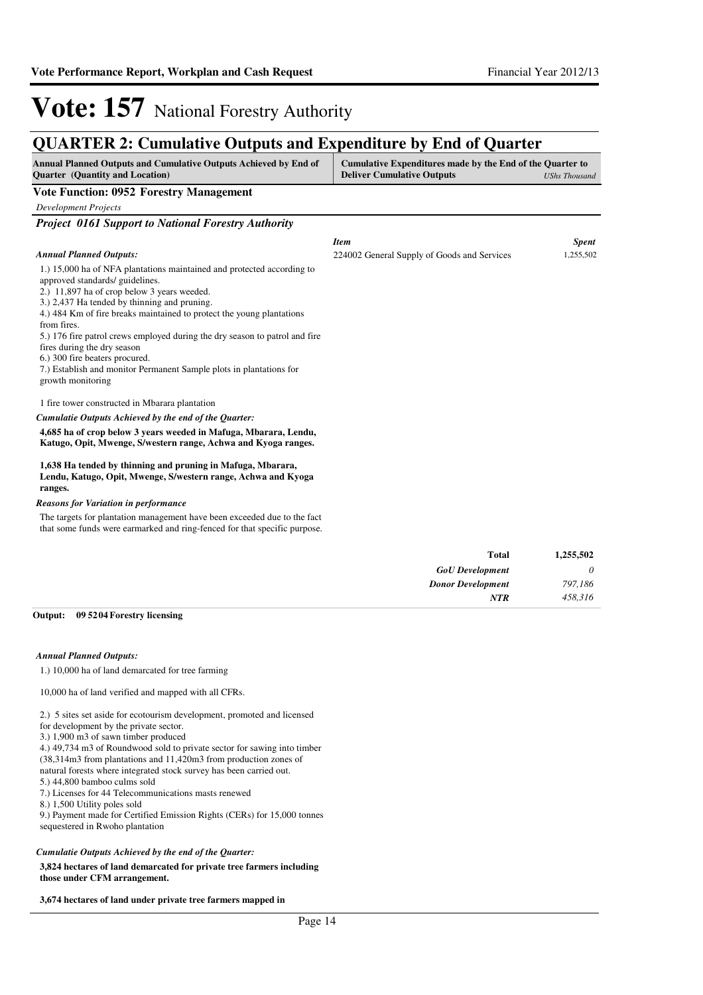*Item Spent* 224002 General Supply of Goods and Services 1,255,502

# **Vote: 157** National Forestry Authority

### **QUARTER 2: Cumulative Outputs and Expenditure by End of Quarter**

| <b>Annual Planned Outputs and Cumulative Outputs Achieved by End of</b> | Cumulative Expenditures made by the End of the Quarter to |               |
|-------------------------------------------------------------------------|-----------------------------------------------------------|---------------|
| <b>Ouarter</b> (Quantity and Location)                                  | <b>Deliver Cumulative Outputs</b>                         | UShs Thousand |

#### **Vote Function: 0952 Forestry Management**

*Development Projects*

*Project 0161 Support to National Forestry Authority*

#### *Annual Planned Outputs:*

1.) 15,000 ha of NFA plantations maintained and protected according to approved standards/ guidelines.

2.) 11,897 ha of crop below 3 years weeded.

3.) 2,437 Ha tended by thinning and pruning.

4.) 484 Km of fire breaks maintained to protect the young plantations from fires.

5.) 176 fire patrol crews employed during the dry season to patrol and fire

fires during the dry season

6.) 300 fire beaters procured.

7.) Establish and monitor Permanent Sample plots in plantations for growth monitoring

#### 1 fire tower constructed in Mbarara plantation

#### *Cumulatie Outputs Achieved by the end of the Quarter:*

**4,685 ha of crop below 3 years weeded in Mafuga, Mbarara, Lendu, Katugo, Opit, Mwenge, S/western range, Achwa and Kyoga ranges.**

#### **1,638 Ha tended by thinning and pruning in Mafuga, Mbarara, Lendu, Katugo, Opit, Mwenge, S/western range, Achwa and Kyoga ranges.**

#### *Reasons for Variation in performance*

The targets for plantation management have been exceeded due to the fact that some funds were earmarked and ring-fenced for that specific purpose.

| <b>Total</b>             | 1,255,502 |
|--------------------------|-----------|
| <b>GoU</b> Development   | $\theta$  |
| <b>Donor Development</b> | 797,186   |
| <b>NTR</b>               | 458,316   |

#### **09 5204 Forestry licensing Output:**

#### *Annual Planned Outputs:*

1.) 10,000 ha of land demarcated for tree farming

10,000 ha of land verified and mapped with all CFRs.

2.) 5 sites set aside for ecotourism development, promoted and licensed

- for development by the private sector.
- 3.) 1,900 m3 of sawn timber produced
- 4.) 49,734 m3 of Roundwood sold to private sector for sawing into timber

(38,314m3 from plantations and 11,420m3 from production zones of

natural forests where integrated stock survey has been carried out.

5.) 44,800 bamboo culms sold

7.) Licenses for 44 Telecommunications masts renewed

8.) 1,500 Utility poles sold

9.) Payment made for Certified Emission Rights (CERs) for 15,000 tonnes sequestered in Rwoho plantation

#### *Cumulatie Outputs Achieved by the end of the Quarter:*

**3,824 hectares of land demarcated for private tree farmers including those under CFM arrangement.**

**3,674 hectares of land under private tree farmers mapped in**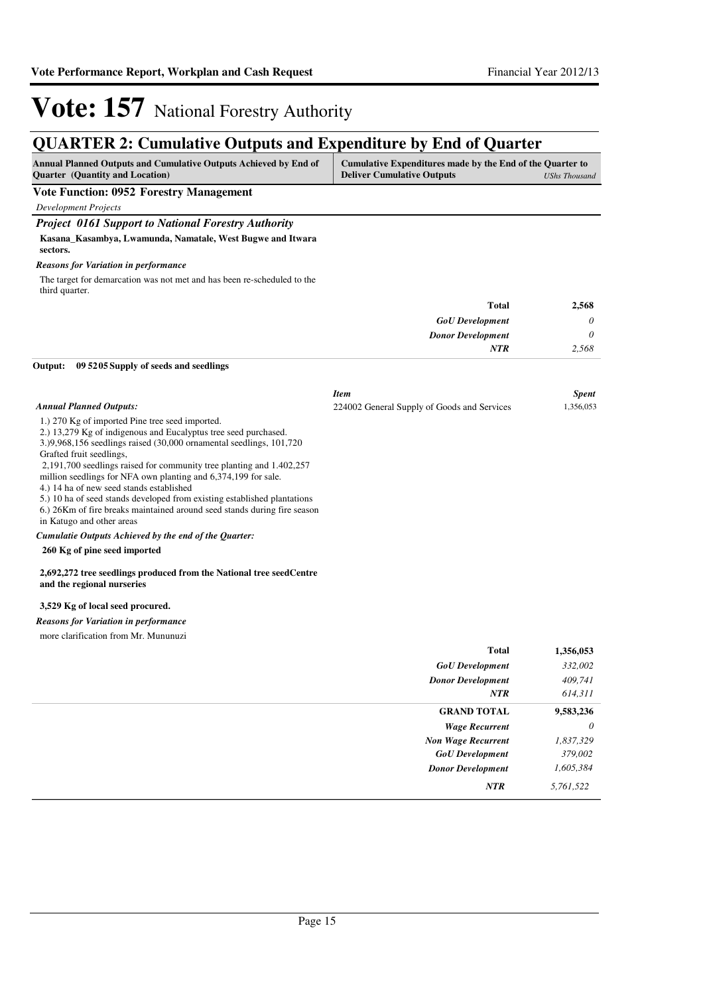## **QUARTER 2: Cumulative Outputs and Expenditure by End of Quarter**

| <b>Annual Planned Outputs and Cumulative Outputs Achieved by End of</b> | Cumulative Expenditures made by the End of the Quarter to |               |
|-------------------------------------------------------------------------|-----------------------------------------------------------|---------------|
| <b>Ouarter</b> (Quantity and Location)                                  | <b>Deliver Cumulative Outputs</b>                         | UShs Thousand |
| Vote Function: 0952 Forestry Management                                 |                                                           |               |

*Development Projects*

#### *Project 0161 Support to National Forestry Authority*

**Kasana\_Kasambya, Lwamunda, Namatale, West Bugwe and Itwara** 

#### **sectors.** *Reasons for Variation in performance*

The target for demarcation was not met and has been re-scheduled to the third quarter.

| 2,568 | <b>Total</b>             |
|-------|--------------------------|
| 0     | <b>GoU</b> Development   |
| 0     | <b>Donor Development</b> |
| 2,568 | <b>NTR</b>               |
|       |                          |

#### **09 5205 Supply of seeds and seedlings Output:**

|                                                                                                                                                                                                                                                                                                                                                                                                                                                                                                                                                                                                  | <b>Item</b>                                 | <b>Spent</b> |
|--------------------------------------------------------------------------------------------------------------------------------------------------------------------------------------------------------------------------------------------------------------------------------------------------------------------------------------------------------------------------------------------------------------------------------------------------------------------------------------------------------------------------------------------------------------------------------------------------|---------------------------------------------|--------------|
| <b>Annual Planned Outputs:</b>                                                                                                                                                                                                                                                                                                                                                                                                                                                                                                                                                                   | 224002 General Supply of Goods and Services | 1,356,053    |
| 1.) 270 Kg of imported Pine tree seed imported.<br>2.) 13,279 Kg of indigenous and Eucalyptus tree seed purchased.<br>3.)9,968,156 seedlings raised (30,000 ornamental seedlings, 101,720<br>Grafted fruit seedlings,<br>2,191,700 seedlings raised for community tree planting and 1.402,257<br>million seedlings for NFA own planting and 6,374,199 for sale.<br>4.) 14 ha of new seed stands established<br>5.) 10 ha of seed stands developed from existing established plantations<br>6.) 26Km of fire breaks maintained around seed stands during fire season<br>in Katugo and other areas |                                             |              |
| Cumulatie Outputs Achieved by the end of the Quarter:                                                                                                                                                                                                                                                                                                                                                                                                                                                                                                                                            |                                             |              |
| 260 Kg of pine seed imported                                                                                                                                                                                                                                                                                                                                                                                                                                                                                                                                                                     |                                             |              |
| 2,692,272 tree seedlings produced from the National tree seedCentre<br>and the regional nurseries                                                                                                                                                                                                                                                                                                                                                                                                                                                                                                |                                             |              |
| 3,529 Kg of local seed procured.                                                                                                                                                                                                                                                                                                                                                                                                                                                                                                                                                                 |                                             |              |
| <b>Reasons for Variation in performance</b>                                                                                                                                                                                                                                                                                                                                                                                                                                                                                                                                                      |                                             |              |
| more clarification from Mr. Mununuzi                                                                                                                                                                                                                                                                                                                                                                                                                                                                                                                                                             |                                             |              |
|                                                                                                                                                                                                                                                                                                                                                                                                                                                                                                                                                                                                  | <b>Total</b>                                | 1,356,053    |
|                                                                                                                                                                                                                                                                                                                                                                                                                                                                                                                                                                                                  | <b>GoU</b> Development                      | 332,002      |
|                                                                                                                                                                                                                                                                                                                                                                                                                                                                                                                                                                                                  | <b>Donor Development</b>                    | 409,741      |
|                                                                                                                                                                                                                                                                                                                                                                                                                                                                                                                                                                                                  | <b>NTR</b>                                  | 614,311      |
|                                                                                                                                                                                                                                                                                                                                                                                                                                                                                                                                                                                                  | <b>GRAND TOTAL</b>                          | 9,583,236    |

*Wage Recurrent Non Wage Recurrent*

*GoU Development Donor Development*

*0 1,837,329*

*379,002 1,605,384*

*NTR 5,761,522*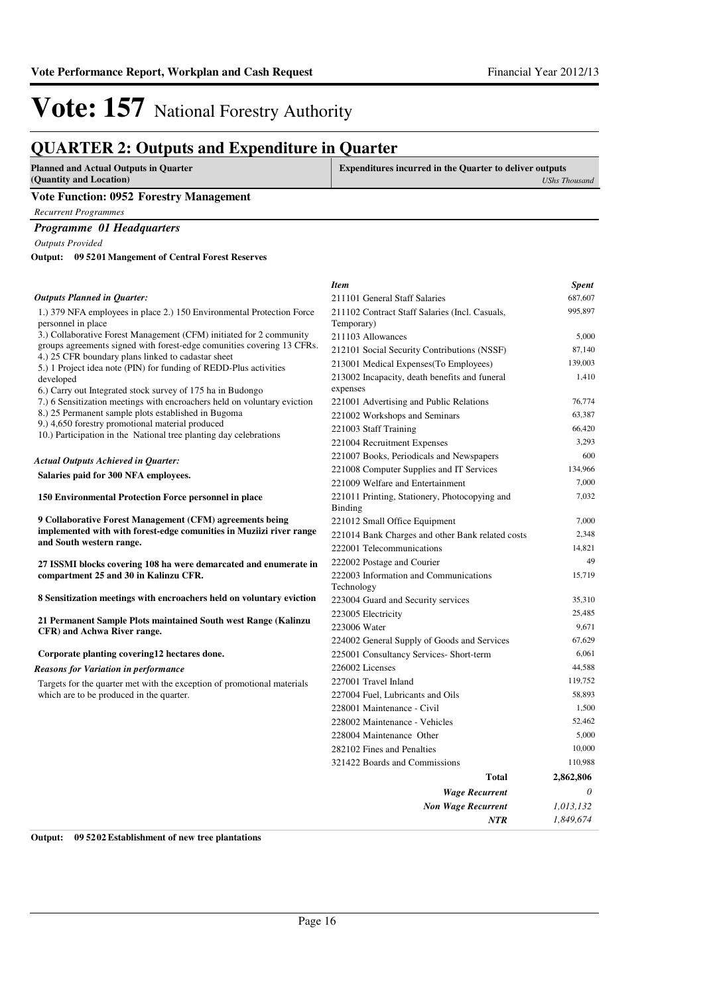## **QUARTER 2: Outputs and Expenditure in Quarter**

| <b>Planned and Actual Outputs in Quarter</b><br>(Quantity and Location)                                                 | <b>Expenditures incurred in the Quarter to deliver outputs</b><br><b>UShs Thousand</b> |
|-------------------------------------------------------------------------------------------------------------------------|----------------------------------------------------------------------------------------|
| <b>Vote Function: 0952 Forestry Management</b>                                                                          |                                                                                        |
| <b>Recurrent Programmes</b>                                                                                             |                                                                                        |
| <b>Programme 01 Headquarters</b>                                                                                        |                                                                                        |
| <b>Outputs Provided</b>                                                                                                 |                                                                                        |
| 09 5201 Mangement of Central Forest Reserves<br>Output:                                                                 |                                                                                        |
|                                                                                                                         | <b>Item</b><br><b>Spent</b>                                                            |
| <b>Outputs Planned in Quarter:</b>                                                                                      | 687,607<br>211101 General Staff Salaries                                               |
| 1.) 379 NFA employees in place 2.) 150 Environmental Protection Force<br>personnel in place                             | 995,897<br>211102 Contract Staff Salaries (Incl. Casuals,<br>Temporary)                |
| 3.) Collaborative Forest Management (CFM) initiated for 2 community                                                     | 5,000<br>211103 Allowances                                                             |
| groups agreements signed with forest-edge comunities covering 13 CFRs.                                                  | 87,140<br>212101 Social Security Contributions (NSSF)                                  |
| 4.) 25 CFR boundary plans linked to cadastar sheet<br>5.) 1 Project idea note (PIN) for funding of REDD-Plus activities | 139,003<br>213001 Medical Expenses (To Employees)                                      |
| developed                                                                                                               | 1,410<br>213002 Incapacity, death benefits and funeral                                 |

6.) Carry out Integrated stock survey of 175 ha in Budongo

7.) 6 Sensitization meetings with encroachers held on voluntary

8.) 25 Permanent sample plots established in Bugoma

9.) 4,650 forestry promotional material produced

10.) Participation in the National tree planting day celebrations

#### **Salaries paid for 300 NFA employees.**  *Actual Outputs Achieved in Quarter:*

| 150 Environmental Protection Force personnel in place |  |
|-------------------------------------------------------|--|

**9 Collaborative Forest Management (CFM) agreements being**  implemented with with forest-edge comunities in Muziizi riv **and South western range.**

**27 ISSMI blocks covering 108 ha were demarcated and enumerated compartment 25 and 30 in Kalinzu CFR.** 

**8 Sensitization meetings with encroachers held on voluntary** 

**21 Permanent Sample Plots maintained South west Range ( CFR) and Achwa River range.**

#### **Corporate planting covering12 hectares done.**

*Reasons for Variation in performance*

Targets for the quarter met with the exception of promotional m which are to be produced in the quarter.

|            | <b>Wage Recurrent</b>                            | 0         |
|------------|--------------------------------------------------|-----------|
|            | Total                                            | 2,862,806 |
|            | 321422 Boards and Commissions                    | 110,988   |
|            | 282102 Fines and Penalties                       | 10,000    |
|            | 228004 Maintenance Other                         | 5,000     |
|            | 228002 Maintenance - Vehicles                    | 52,462    |
|            | 228001 Maintenance - Civil                       | 1,500     |
|            | 227004 Fuel, Lubricants and Oils                 | 58,893    |
| naterials  | 227001 Travel Inland                             | 119,752   |
|            | 226002 Licenses                                  | 44,588    |
|            | 225001 Consultancy Services- Short-term          | 6,061     |
|            | 224002 General Supply of Goods and Services      | 67,629    |
|            | 223006 Water                                     | 9,671     |
| Kalinzu    | 223005 Electricity                               | 25,485    |
| v eviction | 223004 Guard and Security services               | 35,310    |
|            | Technology                                       |           |
|            | 222003 Information and Communications            | 15,719    |
| merate in  | 222002 Postage and Courier                       | 49        |
|            | 222001 Telecommunications                        | 14,821    |
| ver range  | 221014 Bank Charges and other Bank related costs | 2,348     |
| ng         | 221012 Small Office Equipment                    | 7,000     |
|            | Binding                                          |           |
|            | 221011 Printing, Stationery, Photocopying and    | 7,032     |
|            | 221009 Welfare and Entertainment                 | 7,000     |
|            | 221008 Computer Supplies and IT Services         | 134,966   |
|            | 221007 Books, Periodicals and Newspapers         | 600       |
|            | 221004 Recruitment Expenses                      | 3,293     |
|            | 221003 Staff Training                            | 66,420    |
|            | 221002 Workshops and Seminars                    | 63,387    |
| eviction   | 221001 Advertising and Public Relations          | 76,774    |
|            | expenses                                         |           |
| es         | 213002 Incapacity, death benefits and funeral    | 1,410     |
|            | 213001 Medical Expenses (To Employees)           | 139,003   |
|            | $212101$ Social Security Contributions (1935)    |           |

*Non Wage Recurrent*

*NTR*

*0 1,013,132 1,849,674*

**Output: 09 5202 Establishment of new tree plantations**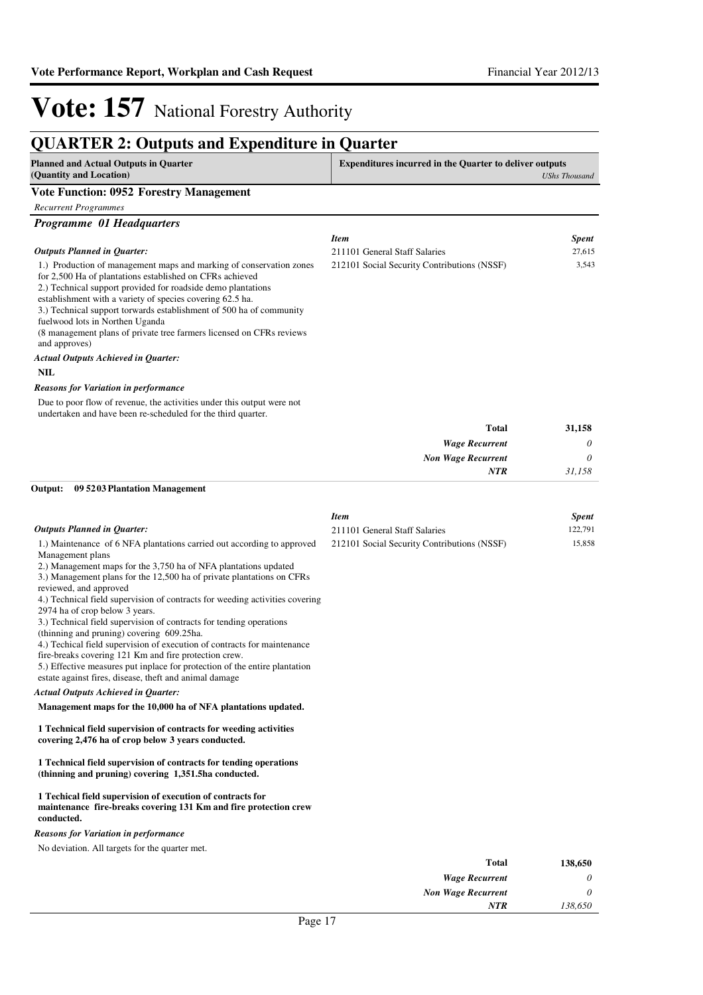### **QUARTER 2: Outputs and Expenditure in Quarter**

| z charamate. Outputs und ma<br>VIIWIWI V III<br><b>Planned and Actual Outputs in Quarter</b>                                                                                                                                                                                                                                                                                                                                                                                                                                                                                                                                                                                                                                                                                                                                      | Y UML VYL<br><b>Expenditures incurred in the Quarter to deliver outputs</b> |                      |
|-----------------------------------------------------------------------------------------------------------------------------------------------------------------------------------------------------------------------------------------------------------------------------------------------------------------------------------------------------------------------------------------------------------------------------------------------------------------------------------------------------------------------------------------------------------------------------------------------------------------------------------------------------------------------------------------------------------------------------------------------------------------------------------------------------------------------------------|-----------------------------------------------------------------------------|----------------------|
| (Quantity and Location)                                                                                                                                                                                                                                                                                                                                                                                                                                                                                                                                                                                                                                                                                                                                                                                                           |                                                                             | <b>UShs Thousand</b> |
| <b>Vote Function: 0952 Forestry Management</b>                                                                                                                                                                                                                                                                                                                                                                                                                                                                                                                                                                                                                                                                                                                                                                                    |                                                                             |                      |
| <b>Recurrent Programmes</b>                                                                                                                                                                                                                                                                                                                                                                                                                                                                                                                                                                                                                                                                                                                                                                                                       |                                                                             |                      |
| <b>Programme 01 Headquarters</b>                                                                                                                                                                                                                                                                                                                                                                                                                                                                                                                                                                                                                                                                                                                                                                                                  |                                                                             |                      |
|                                                                                                                                                                                                                                                                                                                                                                                                                                                                                                                                                                                                                                                                                                                                                                                                                                   | <b>Item</b>                                                                 | <b>Spent</b>         |
| <b>Outputs Planned in Quarter:</b>                                                                                                                                                                                                                                                                                                                                                                                                                                                                                                                                                                                                                                                                                                                                                                                                | 211101 General Staff Salaries                                               | 27,615               |
| 1.) Production of management maps and marking of conservation zones<br>for 2,500 Ha of plantations established on CFRs achieved<br>2.) Technical support provided for roadside demo plantations<br>establishment with a variety of species covering 62.5 ha.<br>3.) Technical support torwards establishment of 500 ha of community<br>fuelwood lots in Northen Uganda<br>(8 management plans of private tree farmers licensed on CFRs reviews)<br>and approves)                                                                                                                                                                                                                                                                                                                                                                  | 212101 Social Security Contributions (NSSF)                                 | 3,543                |
| <b>Actual Outputs Achieved in Quarter:</b>                                                                                                                                                                                                                                                                                                                                                                                                                                                                                                                                                                                                                                                                                                                                                                                        |                                                                             |                      |
| <b>NIL</b>                                                                                                                                                                                                                                                                                                                                                                                                                                                                                                                                                                                                                                                                                                                                                                                                                        |                                                                             |                      |
| <b>Reasons for Variation in performance</b>                                                                                                                                                                                                                                                                                                                                                                                                                                                                                                                                                                                                                                                                                                                                                                                       |                                                                             |                      |
| Due to poor flow of revenue, the activities under this output were not<br>undertaken and have been re-scheduled for the third quarter.                                                                                                                                                                                                                                                                                                                                                                                                                                                                                                                                                                                                                                                                                            |                                                                             |                      |
|                                                                                                                                                                                                                                                                                                                                                                                                                                                                                                                                                                                                                                                                                                                                                                                                                                   | <b>Total</b>                                                                | 31,158               |
|                                                                                                                                                                                                                                                                                                                                                                                                                                                                                                                                                                                                                                                                                                                                                                                                                                   | <b>Wage Recurrent</b>                                                       | 0                    |
|                                                                                                                                                                                                                                                                                                                                                                                                                                                                                                                                                                                                                                                                                                                                                                                                                                   | <b>Non Wage Recurrent</b>                                                   | 0                    |
|                                                                                                                                                                                                                                                                                                                                                                                                                                                                                                                                                                                                                                                                                                                                                                                                                                   | <b>NTR</b>                                                                  | 31,158               |
| Output:<br>09 5203 Plantation Management                                                                                                                                                                                                                                                                                                                                                                                                                                                                                                                                                                                                                                                                                                                                                                                          |                                                                             |                      |
|                                                                                                                                                                                                                                                                                                                                                                                                                                                                                                                                                                                                                                                                                                                                                                                                                                   | <b>Item</b>                                                                 | <b>Spent</b>         |
| <b>Outputs Planned in Quarter:</b>                                                                                                                                                                                                                                                                                                                                                                                                                                                                                                                                                                                                                                                                                                                                                                                                | 211101 General Staff Salaries                                               | 122,791              |
| 1.) Maintenance of 6 NFA plantations carried out according to approved<br>Management plans<br>2.) Management maps for the 3,750 ha of NFA plantations updated<br>3.) Management plans for the 12,500 ha of private plantations on CFRs<br>reviewed, and approved<br>4.) Technical field supervision of contracts for weeding activities covering<br>2974 ha of crop below 3 years.<br>3.) Technical field supervision of contracts for tending operations<br>(thinning and pruning) covering 609.25ha.<br>4.) Techical field supervision of execution of contracts for maintenance<br>fire-breaks covering 121 Km and fire protection crew.<br>5.) Effective measures put inplace for protection of the entire plantation<br>estate against fires, disease, theft and animal damage<br><b>Actual Outputs Achieved in Quarter:</b> | 212101 Social Security Contributions (NSSF)                                 | 15,858               |

#### **Management maps for the 10,000 ha of NFA plantations updated.**

#### **1 Technical field supervision of contracts for weeding activities covering 2,476 ha of crop below 3 years conducted.**

#### **1 Technical field supervision of contracts for tending operations (thinning and pruning) covering 1,351.5ha conducted.**

#### **1 Techical field supervision of execution of contracts for maintenance fire-breaks covering 131 Km and fire protection crew conducted.**

#### *Reasons for Variation in performance*

No deviation. All targets for the quarter met.

| 138,650 | <b>Total</b>              |                              |
|---------|---------------------------|------------------------------|
| 0       | <b>Wage Recurrent</b>     |                              |
| 0       | <b>Non Wage Recurrent</b> |                              |
| 138,650 | <b>NTR</b>                |                              |
|         |                           | $\overline{ }$<br>$\sqrt{ }$ |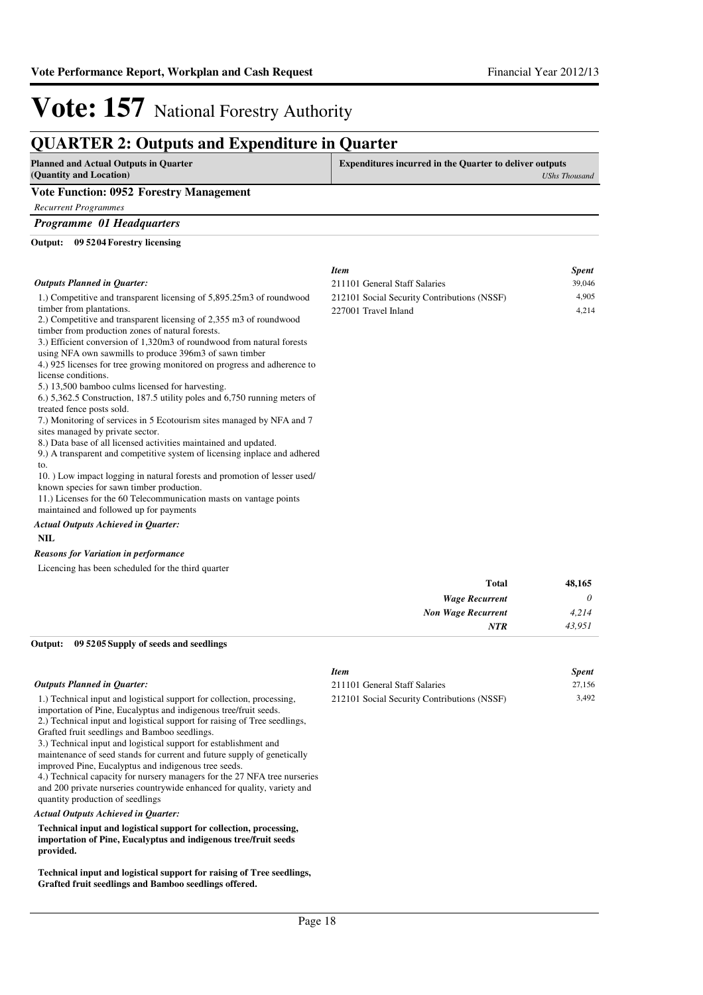### **QUARTER 2: Outputs and Expenditure in Quarter**

| <b>Y</b> ------<br><b>Planned and Actual Outputs in Quarter</b>                                                      | <b>Expenditures incurred in the Quarter to deliver outputs</b> |                      |
|----------------------------------------------------------------------------------------------------------------------|----------------------------------------------------------------|----------------------|
| (Quantity and Location)                                                                                              |                                                                | <b>UShs Thousand</b> |
| <b>Vote Function: 0952 Forestry Management</b>                                                                       |                                                                |                      |
| <b>Recurrent Programmes</b>                                                                                          |                                                                |                      |
| Programme 01 Headquarters                                                                                            |                                                                |                      |
| Output: 09 5204 Forestry licensing                                                                                   |                                                                |                      |
|                                                                                                                      | <b>Item</b>                                                    | <i><b>Spent</b></i>  |
| <b>Outputs Planned in Ouarter:</b>                                                                                   | 211101 General Staff Salaries                                  | 39,046               |
| 1.) Competitive and transparent licensing of 5,895.25m3 of roundwood                                                 | 212101 Social Security Contributions (NSSF)                    | 4,905                |
| timber from plantations.<br>2.) Competitive and transparent licensing of 2,355 m3 of roundwood                       | 227001 Travel Inland                                           | 4,214                |
| timber from production zones of natural forests.                                                                     |                                                                |                      |
| 3.) Efficient conversion of 1,320m3 of roundwood from natural forests                                                |                                                                |                      |
| using NFA own sawmills to produce 396m3 of sawn timber                                                               |                                                                |                      |
| 4.) 925 licenses for tree growing monitored on progress and adherence to                                             |                                                                |                      |
| license conditions.                                                                                                  |                                                                |                      |
| 5.) 13,500 bamboo culms licensed for harvesting.                                                                     |                                                                |                      |
| 6.) 5,362.5 Construction, 187.5 utility poles and 6,750 running meters of<br>treated fence posts sold.               |                                                                |                      |
| 7.) Monitoring of services in 5 Ecotourism sites managed by NFA and 7                                                |                                                                |                      |
| sites managed by private sector.                                                                                     |                                                                |                      |
| 8.) Data base of all licensed activities maintained and updated.                                                     |                                                                |                      |
| 9.) A transparent and competitive system of licensing inplace and adhered                                            |                                                                |                      |
| to.                                                                                                                  |                                                                |                      |
| 10. Low impact logging in natural forests and promotion of lesser used/<br>known species for sawn timber production. |                                                                |                      |
| 11.) Licenses for the 60 Telecommunication masts on vantage points                                                   |                                                                |                      |
| maintained and followed up for payments                                                                              |                                                                |                      |
| <b>Actual Outputs Achieved in Quarter:</b>                                                                           |                                                                |                      |
| <b>NIL</b>                                                                                                           |                                                                |                      |

#### *Reasons for Variation in performance*

Licencing has been scheduled for the third quarter

| <b>Total</b>              | 48,165   |
|---------------------------|----------|
| <b>Wage Recurrent</b>     | $\theta$ |
| <b>Non Wage Recurrent</b> | 4,214    |
| <b>NTR</b>                | 43,951   |

**09 5205 Supply of seeds and seedlings Output:**

|                                                                                                                                                                                                                                                                                                                                                                                                                                                                                                                                                                                                                                                                             | <b>Item</b>                                 | <b>Spent</b> |
|-----------------------------------------------------------------------------------------------------------------------------------------------------------------------------------------------------------------------------------------------------------------------------------------------------------------------------------------------------------------------------------------------------------------------------------------------------------------------------------------------------------------------------------------------------------------------------------------------------------------------------------------------------------------------------|---------------------------------------------|--------------|
| <b>Outputs Planned in Ouarter:</b>                                                                                                                                                                                                                                                                                                                                                                                                                                                                                                                                                                                                                                          | 211101 General Staff Salaries               | 27,156       |
| 1.) Technical input and logistical support for collection, processing,<br>importation of Pine, Eucalyptus and indigenous tree/fruit seeds.<br>2.) Technical input and logistical support for raising of Tree seedlings,<br>Grafted fruit seedlings and Bamboo seedlings.<br>3.) Technical input and logistical support for establishment and<br>maintenance of seed stands for current and future supply of genetically<br>improved Pine, Eucalyptus and indigenous tree seeds.<br>4.) Technical capacity for nursery managers for the 27 NFA tree nurseries<br>and 200 private nurseries countrywide enhanced for quality, variety and<br>quantity production of seedlings | 212101 Social Security Contributions (NSSF) | 3,492        |
| <b>Actual Outputs Achieved in Ouarter:</b>                                                                                                                                                                                                                                                                                                                                                                                                                                                                                                                                                                                                                                  |                                             |              |

**Technical input and logistical support for collection, processing, importation of Pine, Eucalyptus and indigenous tree/fruit seeds provided.**

**Technical input and logistical support for raising of Tree seedlings, Grafted fruit seedlings and Bamboo seedlings offered.**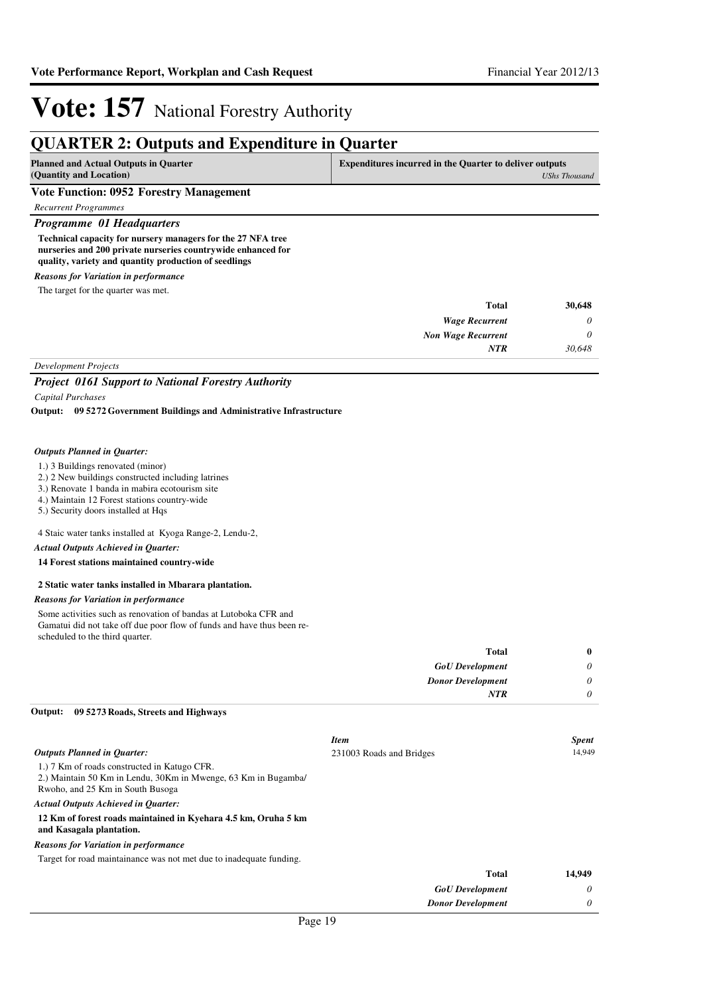### **QUARTER 2: Outputs and Expenditure in Quarter**

| <b>Planned and Actual Outputs in Quarter</b><br>(Quantity and Location) | <b>Expenditures incurred in the Quarter to deliver outputs</b><br>UShs Thousand |
|-------------------------------------------------------------------------|---------------------------------------------------------------------------------|
| <b>Vote Function: 0952 Forestry Management</b>                          |                                                                                 |
| Recurrent Programmes                                                    |                                                                                 |
| <b>Programme 01 Headquarters</b>                                        |                                                                                 |

**Technical capacity for nursery managers for the 27 NFA tree nurseries and 200 private nurseries countrywide enhanced for quality, variety and quantity production of seedlings**

*Reasons for Variation in performance*

The target for the quarter was met.

| <b>Total</b>                | 30,648   |
|-----------------------------|----------|
| <b>Wage Recurrent</b>       | $\theta$ |
| <b>Non Wage Recurrent</b>   | $\theta$ |
| <b>NTR</b>                  | 30,648   |
| <b>Development Projects</b> |          |

### *Project 0161 Support to National Forestry Authority*

*Capital Purchases*

**09 5272 Government Buildings and Administrative Infrastructure Output:**

#### *Outputs Planned in Quarter:*

- 1.) 3 Buildings renovated (minor)
- 2.) 2 New buildings constructed including latrines
- 3.) Renovate 1 banda in mabira ecotourism site
- 4.) Maintain 12 Forest stations country-wide
- 5.) Security doors installed at Hqs

4 Staic water tanks installed at Kyoga Range-2, Lendu-2,

#### *Actual Outputs Achieved in Quarter:*

#### **14 Forest stations maintained country-wide**

#### **2 Static water tanks installed in Mbarara plantation.**

#### *Reasons for Variation in performance*

Some activities such as renovation of bandas at Lutoboka CFR and Gamatui did not take off due poor flow of funds and have thus been rescheduled to the third quarter.

| $\bf{0}$ | <b>Total</b>             |
|----------|--------------------------|
| 0        | <b>GoU</b> Development   |
| 0        | <b>Donor Development</b> |
|          | <b>NTR</b>               |
|          |                          |

#### **09 5273 Roads, Streets and Highways Output:**

|                                                                                                                                                    | <b>Item</b>              | <b>Spent</b> |
|----------------------------------------------------------------------------------------------------------------------------------------------------|--------------------------|--------------|
| <b>Outputs Planned in Ouarter:</b>                                                                                                                 | 231003 Roads and Bridges | 14.949       |
| 1.) 7 Km of roads constructed in Katugo CFR.<br>2.) Maintain 50 Km in Lendu, 30 Km in Mwenge, 63 Km in Bugamba<br>Rwoho, and 25 Km in South Busoga |                          |              |
| <b>Actual Outputs Achieved in Ouarter:</b>                                                                                                         |                          |              |
| 12 Km of forest roads maintained in Kyehara 4.5 km, Oruha 5 km<br>and Kasagala plantation.                                                         |                          |              |
| <b>Reasons for Variation in performance</b>                                                                                                        |                          |              |
| Target for road maintainance was not met due to inadequate funding.                                                                                |                          |              |
|                                                                                                                                                    | <b>Total</b>             | 14,949       |
|                                                                                                                                                    | <b>GoU</b> Development   | 0            |
|                                                                                                                                                    | <b>Donor Development</b> | 0            |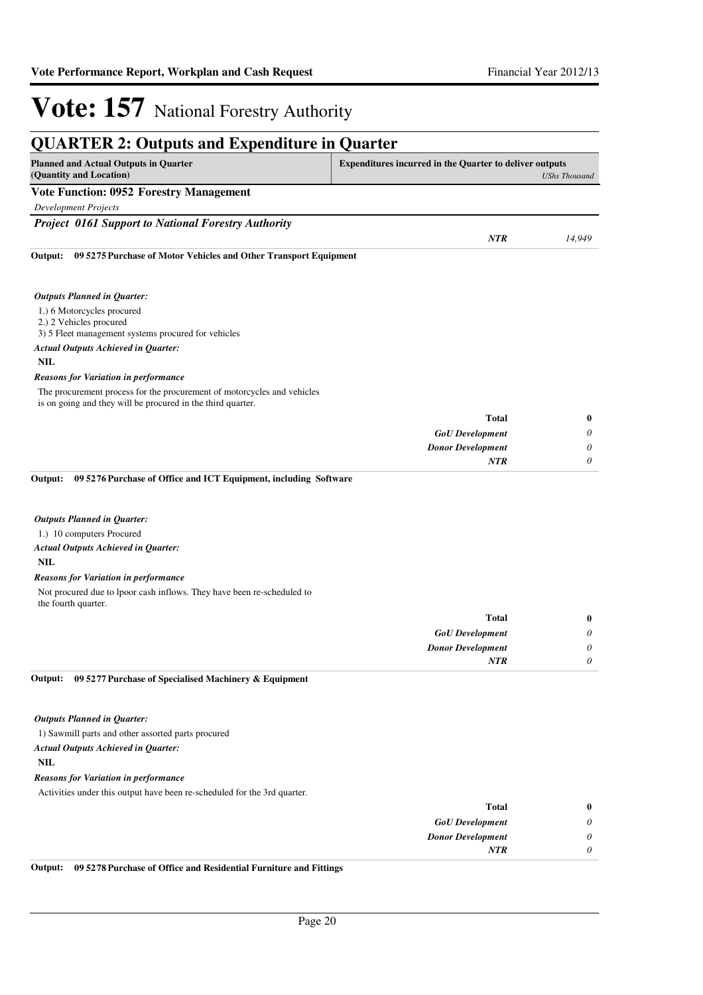*0*

*NTR*

# **Vote: 157** National Forestry Authority

| <b>QUARTER 2: Outputs and Expenditure in Quarter</b>                                                                                   |                                                                                        |          |  |
|----------------------------------------------------------------------------------------------------------------------------------------|----------------------------------------------------------------------------------------|----------|--|
| <b>Planned and Actual Outputs in Quarter</b><br>(Quantity and Location)                                                                | <b>Expenditures incurred in the Quarter to deliver outputs</b><br><b>UShs Thousand</b> |          |  |
| <b>Vote Function: 0952 Forestry Management</b>                                                                                         |                                                                                        |          |  |
| <b>Development Projects</b>                                                                                                            |                                                                                        |          |  |
| <b>Project 0161 Support to National Forestry Authority</b>                                                                             |                                                                                        |          |  |
|                                                                                                                                        | <b>NTR</b>                                                                             | 14,949   |  |
| 09 5275 Purchase of Motor Vehicles and Other Transport Equipment<br>Output:                                                            |                                                                                        |          |  |
| <b>Outputs Planned in Quarter:</b>                                                                                                     |                                                                                        |          |  |
| 1.) 6 Motorcycles procured<br>2.) 2 Vehicles procured<br>3) 5 Fleet management systems procured for vehicles                           |                                                                                        |          |  |
| <b>Actual Outputs Achieved in Quarter:</b>                                                                                             |                                                                                        |          |  |
| <b>NIL</b>                                                                                                                             |                                                                                        |          |  |
| <b>Reasons for Variation in performance</b>                                                                                            |                                                                                        |          |  |
| The procurement process for the procurement of motorcycles and vehicles<br>is on going and they will be procured in the third quarter. |                                                                                        |          |  |
|                                                                                                                                        | <b>Total</b>                                                                           | $\bf{0}$ |  |
|                                                                                                                                        | <b>GoU</b> Development                                                                 | 0        |  |
|                                                                                                                                        | <b>Donor Development</b>                                                               | 0        |  |
|                                                                                                                                        | <b>NTR</b>                                                                             | $\theta$ |  |
| Output:<br>09 5276 Purchase of Office and ICT Equipment, including Software                                                            |                                                                                        |          |  |
| <b>Outputs Planned in Quarter:</b>                                                                                                     |                                                                                        |          |  |
| 1.) 10 computers Procured                                                                                                              |                                                                                        |          |  |
| <b>Actual Outputs Achieved in Quarter:</b>                                                                                             |                                                                                        |          |  |
| <b>NIL</b>                                                                                                                             |                                                                                        |          |  |
| <b>Reasons for Variation in performance</b>                                                                                            |                                                                                        |          |  |
| Not procured due to lpoor cash inflows. They have been re-scheduled to<br>the fourth quarter.                                          |                                                                                        |          |  |
|                                                                                                                                        | <b>Total</b>                                                                           | $\bf{0}$ |  |
|                                                                                                                                        | <b>GoU</b> Development                                                                 | $\theta$ |  |
|                                                                                                                                        | <b>Donor Development</b>                                                               | $\theta$ |  |

#### **09 5277 Purchase of Specialised Machinery & Equipment Output:**

#### *Outputs Planned in Quarter:*

1) Sawmill parts and other assorted parts procured *Actual Outputs Achieved in Quarter:*

### **NIL**

#### *Reasons for Variation in performance*

Activities under this output have been re-scheduled for the 3rd quarter.

| 0 | Total                    |
|---|--------------------------|
| 0 | <b>GoU</b> Development   |
| 0 | <b>Donor Development</b> |
|   | NTR                      |
|   |                          |

**Output: 09 5278 Purchase of Office and Residential Furniture and Fittings**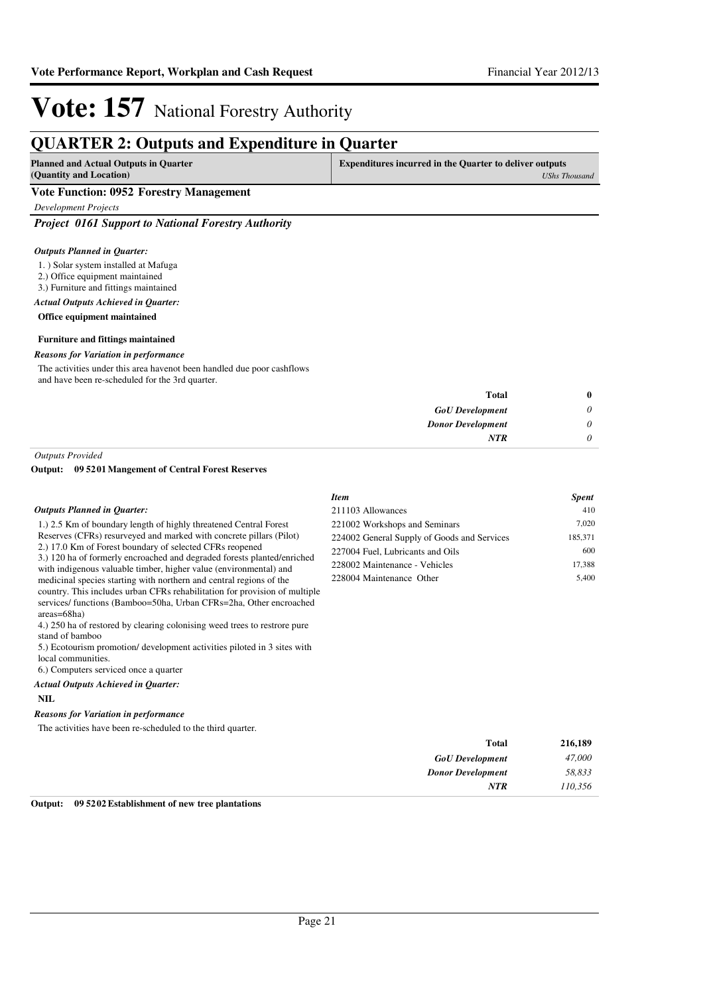## **QUARTER 2: Outputs and Expenditure in Quarter**

| Planned and Actual Outputs in Quarter          | <b>Expenditures incurred in the Quarter to deliver outputs</b> |  |
|------------------------------------------------|----------------------------------------------------------------|--|
| (Quantity and Location)                        | <b>UShs Thousand</b>                                           |  |
| <b>Vote Function: 0952 Forestry Management</b> |                                                                |  |

*Development Projects*

*Project 0161 Support to National Forestry Authority*

#### *Outputs Planned in Quarter:*

- 1. ) Solar system installed at Mafuga
- 2.) Office equipment maintained
- 3.) Furniture and fittings maintained

#### *Actual Outputs Achieved in Quarter:*

**Office equipment maintained**

#### **Furniture and fittings maintained**

#### *Reasons for Variation in performance*

The activities under this area havenot been handled due poor cashflows and have been re-scheduled for the 3rd quarter.

| $\bf{0}$ | <b>Total</b>             |
|----------|--------------------------|
| $\theta$ | <b>GoU</b> Development   |
| $\theta$ | <b>Donor Development</b> |
| 0        | <b>NTR</b>               |
|          |                          |

*Outputs Provided*

#### **09 5201 Mangement of Central Forest Reserves Output:**

|                                                                                                                                                                                                                                                                                                                                                                                                                                                                                                                                                                                                                                                                                                                                                                                                                                                                                                 | <b>Item</b>                                                                                                                                                                   | <i>Spent</i>                               |
|-------------------------------------------------------------------------------------------------------------------------------------------------------------------------------------------------------------------------------------------------------------------------------------------------------------------------------------------------------------------------------------------------------------------------------------------------------------------------------------------------------------------------------------------------------------------------------------------------------------------------------------------------------------------------------------------------------------------------------------------------------------------------------------------------------------------------------------------------------------------------------------------------|-------------------------------------------------------------------------------------------------------------------------------------------------------------------------------|--------------------------------------------|
| <b>Outputs Planned in Quarter:</b>                                                                                                                                                                                                                                                                                                                                                                                                                                                                                                                                                                                                                                                                                                                                                                                                                                                              | 211103 Allowances                                                                                                                                                             | 410                                        |
| 1.) 2.5 Km of boundary length of highly threatened Central Forest<br>Reserves (CFRs) resurveyed and marked with concrete pillars (Pilot)<br>2.) 17.0 Km of Forest boundary of selected CFRs reopened<br>3.) 120 ha of formerly encroached and degraded forests planted/enriched<br>with indigenous valuable timber, higher value (environmental) and<br>medicinal species starting with northern and central regions of the<br>country. This includes urban CFRs rehabilitation for provision of multiple<br>services/functions (Bamboo=50ha, Urban CFRs=2ha, Other encroached<br>$area = 68ha$<br>4.) 250 ha of restored by clearing colonising weed trees to restrore pure<br>stand of bamboo<br>5.) Ecotourism promotion/ development activities piloted in 3 sites with<br>local communities.<br>6.) Computers serviced once a quarter<br><b>Actual Outputs Achieved in Quarter:</b><br>NIL | 221002 Workshops and Seminars<br>224002 General Supply of Goods and Services<br>227004 Fuel, Lubricants and Oils<br>228002 Maintenance - Vehicles<br>228004 Maintenance Other | 7,020<br>185,371<br>600<br>17,388<br>5,400 |
| .                                                                                                                                                                                                                                                                                                                                                                                                                                                                                                                                                                                                                                                                                                                                                                                                                                                                                               |                                                                                                                                                                               |                                            |

#### *Reasons for Variation in performance*

The activities have been re-scheduled to the third quarter.

| 216,189 | <b>Total</b>             |
|---------|--------------------------|
| 47,000  | <b>GoU</b> Development   |
| 58,833  | <b>Donor Development</b> |
| 110,356 | <b>NTR</b>               |
|         |                          |

**Output: 09 5202 Establishment of new tree plantations**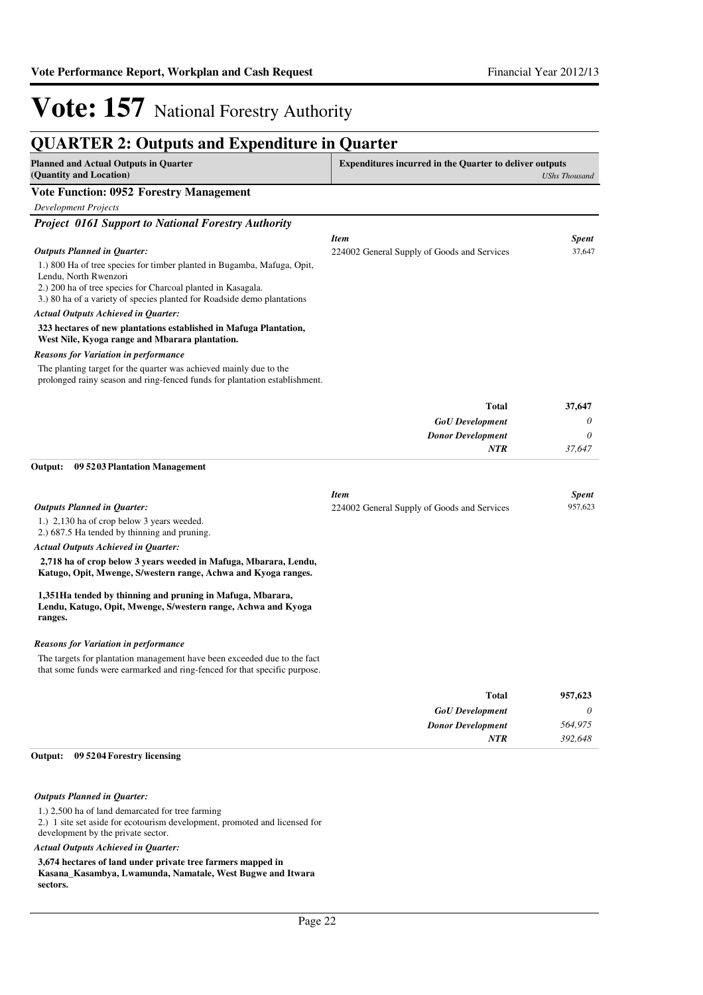## **QUARTER 2: Outputs and Expenditure in Quarter**

| QUANTEN 2. Outputs and Expenditure in Quarter                                                                                                         |                                                            |                         |
|-------------------------------------------------------------------------------------------------------------------------------------------------------|------------------------------------------------------------|-------------------------|
| <b>Planned and Actual Outputs in Quarter</b><br><b>Expenditures incurred in the Quarter to deliver outputs</b><br>(Quantity and Location)             |                                                            | <b>UShs Thousand</b>    |
| <b>Vote Function: 0952 Forestry Management</b>                                                                                                        |                                                            |                         |
| <b>Development Projects</b>                                                                                                                           |                                                            |                         |
| <b>Project 0161 Support to National Forestry Authority</b>                                                                                            |                                                            |                         |
|                                                                                                                                                       | <b>Item</b>                                                | <b>Spent</b>            |
| <b>Outputs Planned in Quarter:</b>                                                                                                                    | 224002 General Supply of Goods and Services                | 37,647                  |
| 1.) 800 Ha of tree species for timber planted in Bugamba, Mafuga, Opit,                                                                               |                                                            |                         |
| Lendu, North Rwenzori<br>2.) 200 ha of tree species for Charcoal planted in Kasagala.                                                                 |                                                            |                         |
| 3.) 80 ha of a variety of species planted for Roadside demo plantations                                                                               |                                                            |                         |
| <b>Actual Outputs Achieved in Quarter:</b>                                                                                                            |                                                            |                         |
| 323 hectares of new plantations established in Mafuga Plantation,<br>West Nile, Kyoga range and Mbarara plantation.                                   |                                                            |                         |
| <b>Reasons for Variation in performance</b>                                                                                                           |                                                            |                         |
| The planting target for the quarter was achieved mainly due to the<br>prolonged rainy season and ring-fenced funds for plantation establishment.      |                                                            |                         |
|                                                                                                                                                       | <b>Total</b>                                               | 37,647                  |
|                                                                                                                                                       | <b>GoU</b> Development                                     | 0                       |
|                                                                                                                                                       | <b>Donor Development</b>                                   | $\theta$                |
|                                                                                                                                                       | <b>NTR</b>                                                 | 37,647                  |
| Output:<br>09 5203 Plantation Management                                                                                                              |                                                            |                         |
|                                                                                                                                                       |                                                            |                         |
| <b>Outputs Planned in Quarter:</b>                                                                                                                    | <b>Item</b><br>224002 General Supply of Goods and Services | <b>Spent</b><br>957,623 |
| 1.) 2,130 ha of crop below 3 years weeded.                                                                                                            |                                                            |                         |
| 2.) 687.5 Ha tended by thinning and pruning.                                                                                                          |                                                            |                         |
| <b>Actual Outputs Achieved in Quarter:</b>                                                                                                            |                                                            |                         |
| 2,718 ha of crop below 3 years weeded in Mafuga, Mbarara, Lendu,<br>Katugo, Opit, Mwenge, S/western range, Achwa and Kyoga ranges.                    |                                                            |                         |
| 1,351Ha tended by thinning and pruning in Mafuga, Mbarara,<br>Lendu, Katugo, Opit, Mwenge, S/western range, Achwa and Kyoga<br>ranges.                |                                                            |                         |
| <b>Reasons for Variation in performance</b>                                                                                                           |                                                            |                         |
| The targets for plantation management have been exceeded due to the fact<br>that some funds were earmarked and ring-fenced for that specific purpose. |                                                            |                         |
|                                                                                                                                                       |                                                            |                         |
|                                                                                                                                                       | <b>Total</b>                                               | 957,623                 |
|                                                                                                                                                       | <b>GoU</b> Development                                     | $\theta$                |
|                                                                                                                                                       | <b>Donor Development</b>                                   | 564,975                 |
|                                                                                                                                                       | <b>NTR</b>                                                 | 392,648                 |

#### **09 5204 Forestry licensing Output:**

#### *Outputs Planned in Quarter:*

1.) 2,500 ha of land demarcated for tree farming

2.) 1 site set aside for ecotourism development, promoted and licensed for development by the private sector.

*Actual Outputs Achieved in Quarter:*

**3,674 hectares of land under private tree farmers mapped in Kasana\_Kasambya, Lwamunda, Namatale, West Bugwe and Itwara sectors.**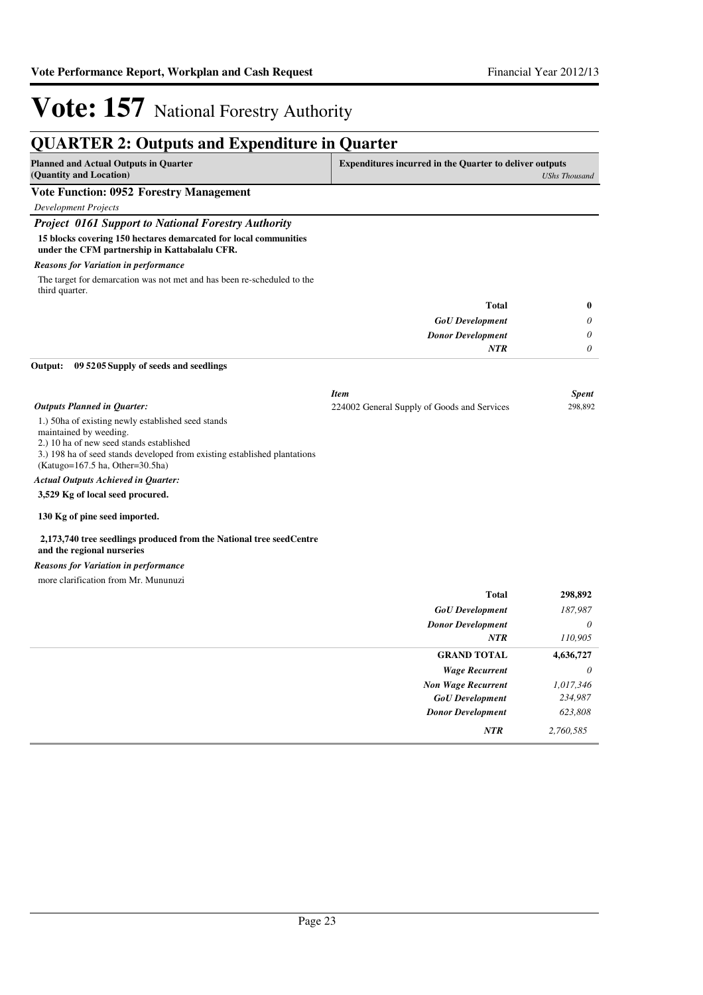*0 0 0*

**0**

# **Vote: 157** National Forestry Authority

### **QUARTER 2: Outputs and Expenditure in Quarter Planned and Actual Outputs in Quarter (Quantity and Location) Expenditures incurred in the Quarter to deliver outputs**  *UShs Thousand* **Vote Function: 0952 Forestry Management** *Development Projects Project 0161 Support to National Forestry Authority* **15 blocks covering 150 hectares demarcated for local communities under the CFM partnership in Kattabalalu CFR.** *GoU Development Donor Development* **Total** *NTR* The target for demarcation was not met and has been re-scheduled to the third quarter. *Reasons for Variation in performance* **09 5205 Supply of seeds and seedlings Output:** *Outputs Planned in Quarter: Item Spent* 224002 General Supply of Goods and Services 298,892

1.) 50ha of existing newly established seed stands

maintained by weeding.

2.) 10 ha of new seed stands established

3.) 198 ha of seed stands developed from existing established plantations

(Katugo=167.5 ha, Other=30.5ha)

*Actual Outputs Achieved in Quarter:*

**3,529 Kg of local seed procured.**

#### **130 Kg of pine seed imported.**

#### **2,173,740 tree seedlings produced from the National tree seedCentre and the regional nurseries**

*Reasons for Variation in performance*

more clarification from Mr. Mununuzi

| <b>Total</b>              | 298,892   |
|---------------------------|-----------|
| <b>GoU</b> Development    | 187,987   |
| <b>Donor Development</b>  | $\theta$  |
| <b>NTR</b>                | 110,905   |
| <b>GRAND TOTAL</b>        | 4,636,727 |
| <b>Wage Recurrent</b>     | $\theta$  |
| <b>Non Wage Recurrent</b> | 1,017,346 |
| <b>GoU</b> Development    | 234,987   |
| <b>Donor Development</b>  | 623,808   |
| NTR                       | 2,760,585 |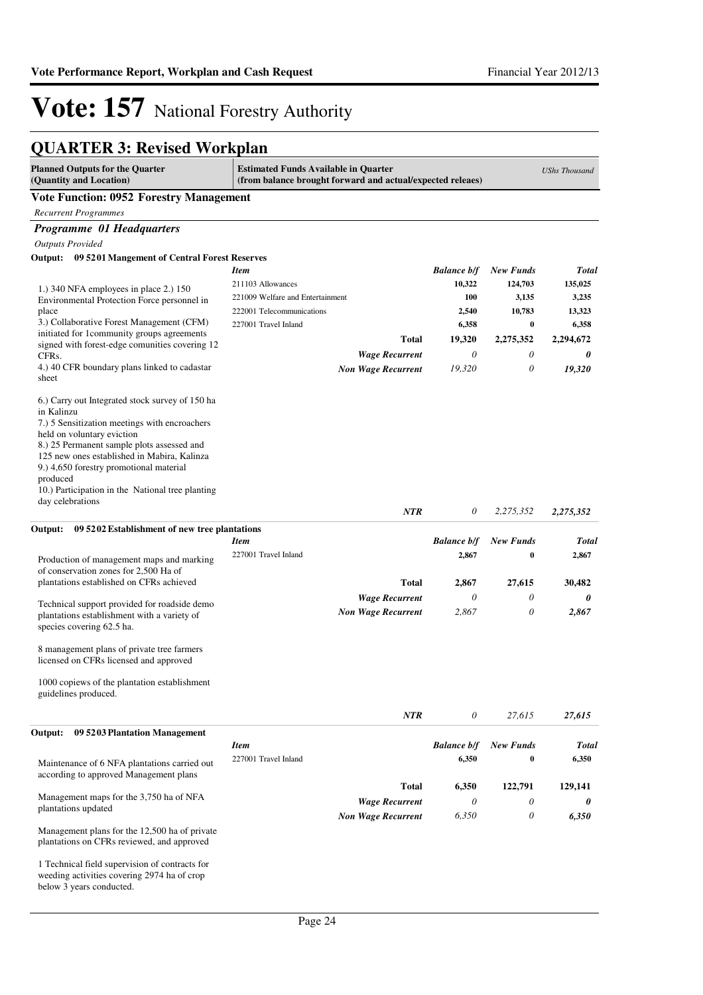## **QUARTER 3: Revised Workplan**

| <b>Total</b> |
|--------------|
| 135,025      |
| 3,235        |
| 13,323       |
| 6,358        |
| 2,294,672    |
| 0            |
| 19,320       |
|              |
|              |
|              |
|              |
|              |
|              |
|              |
|              |
| 2,275,352    |
|              |
| <b>Total</b> |
| 2,867        |
|              |
| 30,482       |
| 0            |
| 2,867        |
|              |
|              |
|              |
|              |
|              |
|              |
| 27,615       |
|              |
| <b>Total</b> |
| 6,350        |
| 129,141      |
| 0            |
| 6,350        |
|              |
|              |
|              |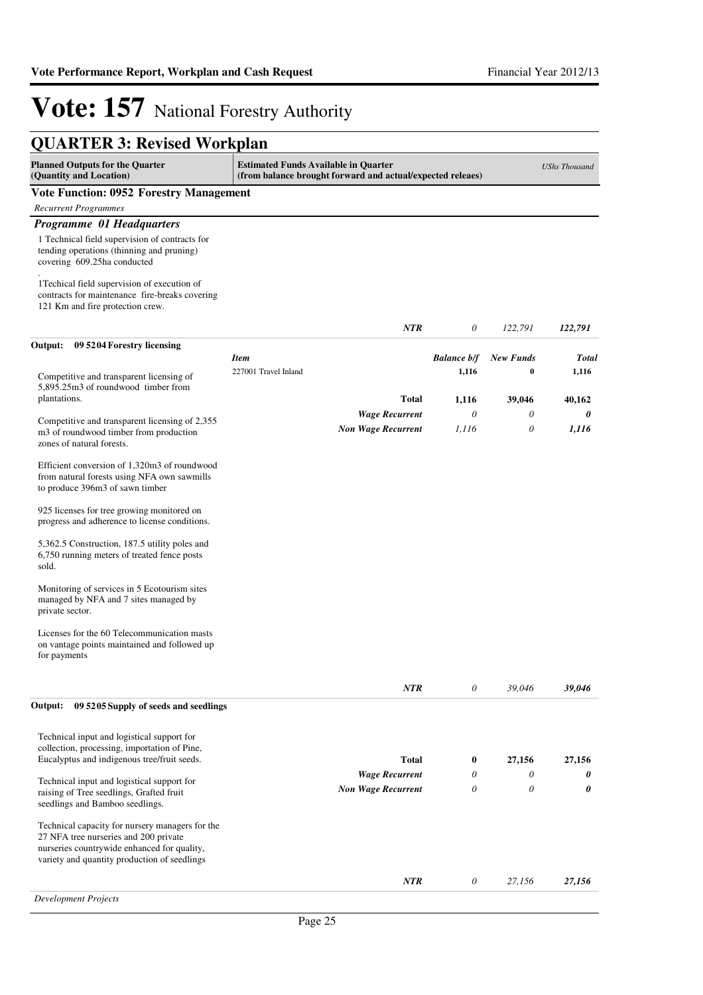| <b>QUARTER 3: Revised Workplan</b>                                                                                                                                                      |                                                                                                           |                    |                  |                      |
|-----------------------------------------------------------------------------------------------------------------------------------------------------------------------------------------|-----------------------------------------------------------------------------------------------------------|--------------------|------------------|----------------------|
| <b>Planned Outputs for the Quarter</b><br>(Quantity and Location)                                                                                                                       | <b>Estimated Funds Available in Quarter</b><br>(from balance brought forward and actual/expected releaes) |                    |                  | <b>UShs Thousand</b> |
| <b>Vote Function: 0952 Forestry Management</b>                                                                                                                                          |                                                                                                           |                    |                  |                      |
| <b>Recurrent Programmes</b>                                                                                                                                                             |                                                                                                           |                    |                  |                      |
| Programme 01 Headquarters                                                                                                                                                               |                                                                                                           |                    |                  |                      |
| 1 Technical field supervision of contracts for<br>tending operations (thinning and pruning)<br>covering 609.25ha conducted                                                              |                                                                                                           |                    |                  |                      |
| 1 Techical field supervision of execution of<br>contracts for maintenance fire-breaks covering<br>121 Km and fire protection crew.                                                      |                                                                                                           |                    |                  |                      |
|                                                                                                                                                                                         | NTR                                                                                                       | 0                  | 122,791          | 122,791              |
| Output:<br>09 5204 Forestry licensing                                                                                                                                                   |                                                                                                           |                    |                  |                      |
|                                                                                                                                                                                         | <b>Item</b>                                                                                               | <b>Balance b/f</b> | <b>New Funds</b> | <b>Total</b>         |
| Competitive and transparent licensing of<br>5,895.25m3 of roundwood timber from                                                                                                         | 227001 Travel Inland                                                                                      | 1,116              | 0                | 1,116                |
| plantations.                                                                                                                                                                            | Total                                                                                                     | 1,116              | 39,046           | 40,162               |
| Competitive and transparent licensing of 2,355                                                                                                                                          | <b>Wage Recurrent</b>                                                                                     | $\theta$           | 0                | 0                    |
| m3 of roundwood timber from production<br>zones of natural forests.                                                                                                                     | <b>Non Wage Recurrent</b>                                                                                 | 1,116              | 0                | 1,116                |
| Efficient conversion of 1,320m3 of roundwood<br>from natural forests using NFA own sawmills<br>to produce 396m3 of sawn timber                                                          |                                                                                                           |                    |                  |                      |
| 925 licenses for tree growing monitored on<br>progress and adherence to license conditions.                                                                                             |                                                                                                           |                    |                  |                      |
| 5,362.5 Construction, 187.5 utility poles and<br>6,750 running meters of treated fence posts<br>sold.                                                                                   |                                                                                                           |                    |                  |                      |
| Monitoring of services in 5 Ecotourism sites<br>managed by NFA and 7 sites managed by<br>private sector.                                                                                |                                                                                                           |                    |                  |                      |
| Licenses for the 60 Telecommunication masts<br>on vantage points maintained and followed up<br>for payments                                                                             |                                                                                                           |                    |                  |                      |
|                                                                                                                                                                                         | NTR                                                                                                       | 0                  | 39,046           | 39,046               |
| Output:<br>09 5205 Supply of seeds and seedlings                                                                                                                                        |                                                                                                           |                    |                  |                      |
| Technical input and logistical support for                                                                                                                                              |                                                                                                           |                    |                  |                      |
| collection, processing, importation of Pine,                                                                                                                                            |                                                                                                           |                    |                  |                      |
| Eucalyptus and indigenous tree/fruit seeds.                                                                                                                                             | Total                                                                                                     | $\bf{0}$           | 27,156           | 27,156               |
| Technical input and logistical support for                                                                                                                                              | <b>Wage Recurrent</b>                                                                                     | 0                  | 0                | 0                    |
| raising of Tree seedlings, Grafted fruit<br>seedlings and Bamboo seedlings.                                                                                                             | <b>Non Wage Recurrent</b>                                                                                 | 0                  | 0                | 0                    |
| Technical capacity for nursery managers for the<br>27 NFA tree nurseries and 200 private<br>nurseries countrywide enhanced for quality,<br>variety and quantity production of seedlings |                                                                                                           |                    |                  |                      |
|                                                                                                                                                                                         | NTR                                                                                                       | 0                  | 27,156           | 27,156               |
| <b>Development Projects</b>                                                                                                                                                             |                                                                                                           |                    |                  |                      |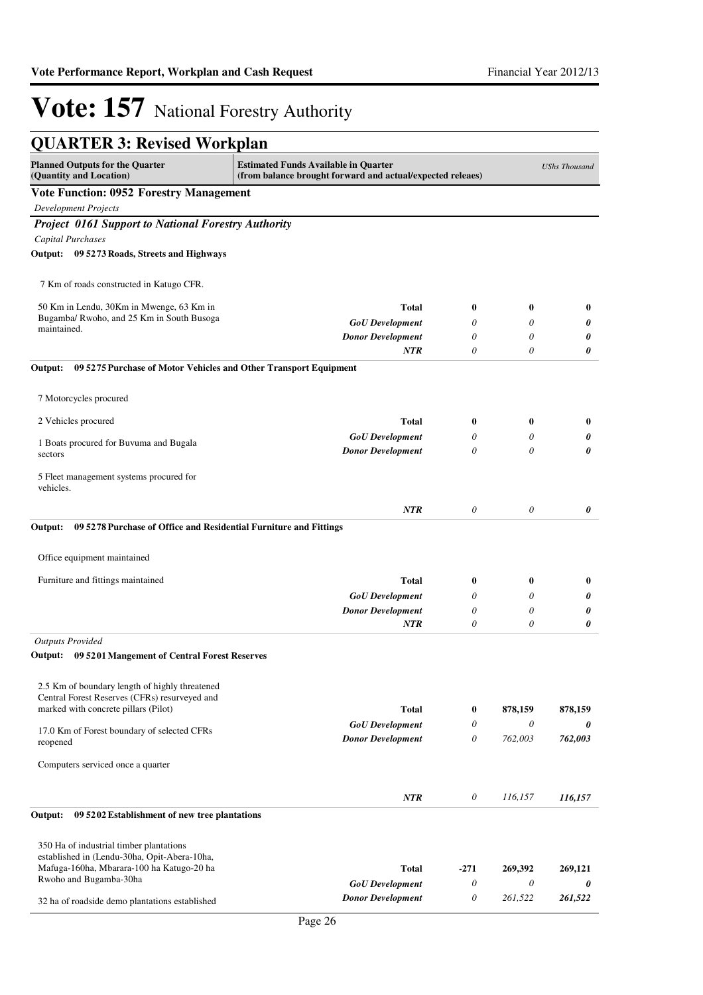| <b>QUARTER 3: Revised Workplan</b>                                                                                                                                                                     |                                                    |                       |                  |              |
|--------------------------------------------------------------------------------------------------------------------------------------------------------------------------------------------------------|----------------------------------------------------|-----------------------|------------------|--------------|
| <b>Planned Outputs for the Quarter</b><br><b>Estimated Funds Available in Quarter</b><br><b>UShs Thousand</b><br>(Quantity and Location)<br>(from balance brought forward and actual/expected releaes) |                                                    |                       |                  |              |
| <b>Vote Function: 0952 Forestry Management</b>                                                                                                                                                         |                                                    |                       |                  |              |
| <b>Development Projects</b>                                                                                                                                                                            |                                                    |                       |                  |              |
| <b>Project 0161 Support to National Forestry Authority</b>                                                                                                                                             |                                                    |                       |                  |              |
| <b>Capital Purchases</b>                                                                                                                                                                               |                                                    |                       |                  |              |
| Output: 09 5273 Roads, Streets and Highways                                                                                                                                                            |                                                    |                       |                  |              |
| 7 Km of roads constructed in Katugo CFR.                                                                                                                                                               |                                                    |                       |                  |              |
| 50 Km in Lendu, 30Km in Mwenge, 63 Km in                                                                                                                                                               | <b>Total</b>                                       | $\bf{0}$              | $\boldsymbol{0}$ | $\bf{0}$     |
| Bugamba/ Rwoho, and 25 Km in South Busoga                                                                                                                                                              | <b>GoU</b> Development                             | 0                     | 0                | 0            |
| maintained.                                                                                                                                                                                            | <b>Donor Development</b>                           | 0                     | $\theta$         | 0            |
|                                                                                                                                                                                                        | NTR                                                | $\theta$              | $\theta$         | 0            |
| Output:<br>09 5275 Purchase of Motor Vehicles and Other Transport Equipment                                                                                                                            |                                                    |                       |                  |              |
| 7 Motorcycles procured                                                                                                                                                                                 |                                                    |                       |                  |              |
| 2 Vehicles procured                                                                                                                                                                                    | Total                                              | $\bf{0}$              | $\bf{0}$         | $\bf{0}$     |
|                                                                                                                                                                                                        | <b>GoU</b> Development                             | 0                     | 0                | 0            |
| 1 Boats procured for Buvuma and Bugala<br>sectors                                                                                                                                                      | <b>Donor Development</b>                           | $\theta$              | 0                | 0            |
| 5 Fleet management systems procured for<br>vehicles.                                                                                                                                                   |                                                    |                       |                  |              |
|                                                                                                                                                                                                        | NTR                                                | $\theta$              | $\theta$         | 0            |
| 09 5278 Purchase of Office and Residential Furniture and Fittings<br>Output:                                                                                                                           |                                                    |                       |                  |              |
| Office equipment maintained                                                                                                                                                                            |                                                    |                       |                  |              |
| Furniture and fittings maintained                                                                                                                                                                      | Total                                              | $\bf{0}$              | $\bf{0}$         | $\bf{0}$     |
|                                                                                                                                                                                                        | <b>GoU</b> Development                             | 0                     | 0                | 0            |
|                                                                                                                                                                                                        | <b>Donor Development</b>                           | $\theta$              | $\theta$         | 0            |
|                                                                                                                                                                                                        | NTR                                                | $\theta$              | 0                | 0            |
| <b>Outputs Provided</b>                                                                                                                                                                                |                                                    |                       |                  |              |
| Output: 09 5201 Mangement of Central Forest Reserves                                                                                                                                                   |                                                    |                       |                  |              |
| 2.5 Km of boundary length of highly threatened                                                                                                                                                         |                                                    |                       |                  |              |
| Central Forest Reserves (CFRs) resurveyed and                                                                                                                                                          |                                                    |                       |                  |              |
| marked with concrete pillars (Pilot)                                                                                                                                                                   | <b>Total</b>                                       | $\bf{0}$              | 878,159          | 878,159      |
| 17.0 Km of Forest boundary of selected CFRs<br>reopened                                                                                                                                                | <b>GoU</b> Development<br><b>Donor Development</b> | 0<br>0                | 0<br>762,003     | 0<br>762,003 |
| Computers serviced once a quarter                                                                                                                                                                      |                                                    |                       |                  |              |
|                                                                                                                                                                                                        |                                                    |                       |                  |              |
| Output:<br>09 5202 Establishment of new tree plantations                                                                                                                                               | NTR                                                | $\theta$              | 116,157          | 116,157      |
|                                                                                                                                                                                                        |                                                    |                       |                  |              |
| 350 Ha of industrial timber plantations<br>established in (Lendu-30ha, Opit-Abera-10ha,                                                                                                                |                                                    |                       |                  |              |
| Mafuga-160ha, Mbarara-100 ha Katugo-20 ha                                                                                                                                                              | <b>Total</b>                                       | $-271$                | 269,392          | 269,121      |
| Rwoho and Bugamba-30ha                                                                                                                                                                                 | <b>GoU</b> Development                             | $\theta$              | 0                | 0            |
| 32 ha of roadside demo plantations established                                                                                                                                                         | <b>Donor Development</b>                           | $\boldsymbol{\theta}$ | 261,522          | 261,522      |
|                                                                                                                                                                                                        |                                                    |                       |                  |              |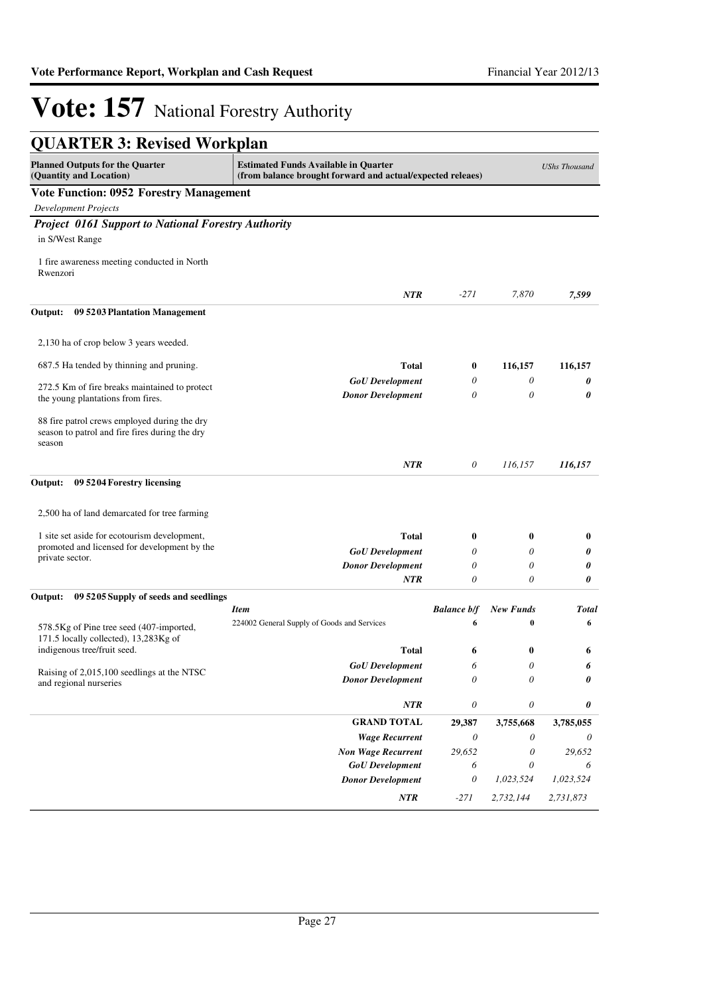| <b>QUARTER 3: Revised Workplan</b>                                                                       |                                                                                                           |                           |                  |                      |
|----------------------------------------------------------------------------------------------------------|-----------------------------------------------------------------------------------------------------------|---------------------------|------------------|----------------------|
| <b>Planned Outputs for the Quarter</b><br>(Quantity and Location)                                        | <b>Estimated Funds Available in Quarter</b><br>(from balance brought forward and actual/expected releaes) |                           |                  | <b>UShs Thousand</b> |
| <b>Vote Function: 0952 Forestry Management</b>                                                           |                                                                                                           |                           |                  |                      |
| <b>Development Projects</b>                                                                              |                                                                                                           |                           |                  |                      |
| <b>Project 0161 Support to National Forestry Authority</b>                                               |                                                                                                           |                           |                  |                      |
| in S/West Range                                                                                          |                                                                                                           |                           |                  |                      |
| 1 fire awareness meeting conducted in North<br>Rwenzori                                                  |                                                                                                           |                           |                  |                      |
|                                                                                                          | <b>NTR</b>                                                                                                | $-271$                    | 7.870            | 7,599                |
| Output:<br>09 5203 Plantation Management                                                                 |                                                                                                           |                           |                  |                      |
| 2,130 ha of crop below 3 years weeded.                                                                   |                                                                                                           |                           |                  |                      |
| 687.5 Ha tended by thinning and pruning.                                                                 | <b>Total</b>                                                                                              | $\bf{0}$                  | 116,157          | 116,157              |
|                                                                                                          | <b>GoU</b> Development                                                                                    | 0                         | 0                | 0                    |
| 272.5 Km of fire breaks maintained to protect<br>the young plantations from fires.                       | <b>Donor Development</b>                                                                                  | $\theta$                  | 0                | 0                    |
| 88 fire patrol crews employed during the dry<br>season to patrol and fire fires during the dry<br>season |                                                                                                           |                           |                  |                      |
|                                                                                                          | <b>NTR</b>                                                                                                | 0                         | 116,157          | 116,157              |
| Output:<br>09 5204 Forestry licensing                                                                    |                                                                                                           |                           |                  |                      |
| 2,500 ha of land demarcated for tree farming                                                             |                                                                                                           |                           |                  |                      |
| 1 site set aside for ecotourism development,                                                             | <b>Total</b>                                                                                              | $\bf{0}$                  | 0                | $\bf{0}$             |
| promoted and licensed for development by the                                                             | <b>GoU</b> Development                                                                                    | 0                         | 0                | 0                    |
| private sector.                                                                                          | <b>Donor Development</b>                                                                                  | 0                         | 0                | 0                    |
|                                                                                                          | <b>NTR</b>                                                                                                | 0                         | 0                | 0                    |
| 09 5205 Supply of seeds and seedlings<br>Output:                                                         |                                                                                                           |                           |                  |                      |
|                                                                                                          | <b>Item</b>                                                                                               | <b>Balance b/f</b>        | <b>New Funds</b> | <b>Total</b>         |
| 578.5Kg of Pine tree seed (407-imported,<br>171.5 locally collected), 13,283Kg of                        | 224002 General Supply of Goods and Services                                                               | 6                         | $\bf{0}$         | 6                    |
| indigenous tree/fruit seed.                                                                              | <b>Total</b>                                                                                              | 6                         | 0                | 6                    |
| Raising of 2,015,100 seedlings at the NTSC                                                               | <b>GoU</b> Development                                                                                    | 6                         | 0                |                      |
| and regional nurseries                                                                                   | <b>Donor Development</b>                                                                                  | $\theta$                  | 0                | 0                    |
|                                                                                                          | NTR                                                                                                       | 0                         | 0                | 0                    |
|                                                                                                          | <b>GRAND TOTAL</b>                                                                                        | 29,387                    | 3,755,668        | 3,785,055            |
|                                                                                                          | <b>Wage Recurrent</b>                                                                                     | $\boldsymbol{\mathit{0}}$ | 0                | 0                    |
|                                                                                                          | <b>Non Wage Recurrent</b>                                                                                 | 29,652                    | $\theta$         | 29,652               |
|                                                                                                          | <b>GoU</b> Development                                                                                    | 6                         | 0                | 6                    |
|                                                                                                          | <b>Donor Development</b>                                                                                  | $\boldsymbol{\mathit{0}}$ | 1,023,524        | 1,023,524            |
|                                                                                                          | NTR                                                                                                       | $-271$                    | 2,732,144        | 2,731,873            |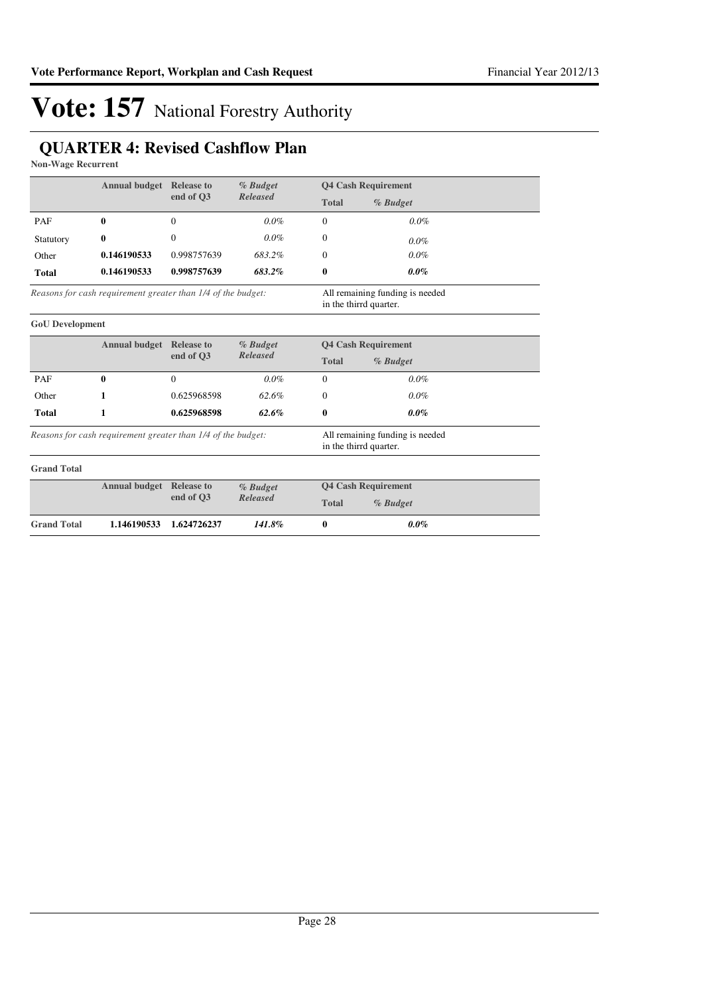## **QUARTER 4: Revised Cashflow Plan**

**Non-Wage Recurrent**

|                                                              | <b>Annual budget</b> Release to |                   | % Budget                                                  | <b>Q4 Cash Requirement</b> |          |
|--------------------------------------------------------------|---------------------------------|-------------------|-----------------------------------------------------------|----------------------------|----------|
|                                                              |                                 | end of O3         | <b>Released</b>                                           | <b>Total</b>               | % Budget |
| PAF                                                          | 0                               | $\Omega$          | $0.0\%$                                                   | $\Omega$                   | $0.0\%$  |
| Statutory                                                    | $\bf{0}$                        | $\Omega$          | $0.0\%$                                                   | $\Omega$                   | $0.0\%$  |
| Other                                                        | 0.146190533                     | 0.998757639       | 683.2%                                                    | $\Omega$                   | $0.0\%$  |
| <b>Total</b>                                                 | 0.146190533                     | 0.998757639       | 683.2%                                                    | $\bf{0}$                   | $0.0\%$  |
| Reasons for cash requirement greater than 1/4 of the budget: |                                 |                   | All remaining funding is needed<br>in the thirrd quarter. |                            |          |
| <b>GoU</b> Development                                       |                                 |                   |                                                           |                            |          |
|                                                              | <b>Annual budget</b>            | <b>Release to</b> | % Budget                                                  | <b>Q4 Cash Requirement</b> |          |
|                                                              | end of O3                       | <b>Released</b>   | <b>Total</b>                                              | % Budget                   |          |
| PAF                                                          | $\bf{0}$                        | $\Omega$          | $0.0\%$                                                   | $\Omega$                   | $0.0\%$  |
| Other                                                        | 1                               | 0.625968598       | 62.6%                                                     | $\Omega$                   | $0.0\%$  |
| <b>Total</b>                                                 | 1                               | 0.625968598       | $62.6\%$                                                  | 0                          | $0.0\%$  |
| Reasons for cash requirement greater than 1/4 of the budget: |                                 |                   | All remaining funding is needed<br>in the thirrd quarter. |                            |          |
| <b>Grand Total</b>                                           |                                 |                   |                                                           |                            |          |
|                                                              | <b>Annual budget</b>            | <b>Release to</b> | % Budget<br><b>Released</b>                               | <b>Q4 Cash Requirement</b> |          |
|                                                              |                                 | end of O3         |                                                           | <b>Total</b>               | % Budget |
| <b>Grand Total</b>                                           | 1.146190533                     | 1.624726237       | 141.8%                                                    | $\bf{0}$                   | $0.0\%$  |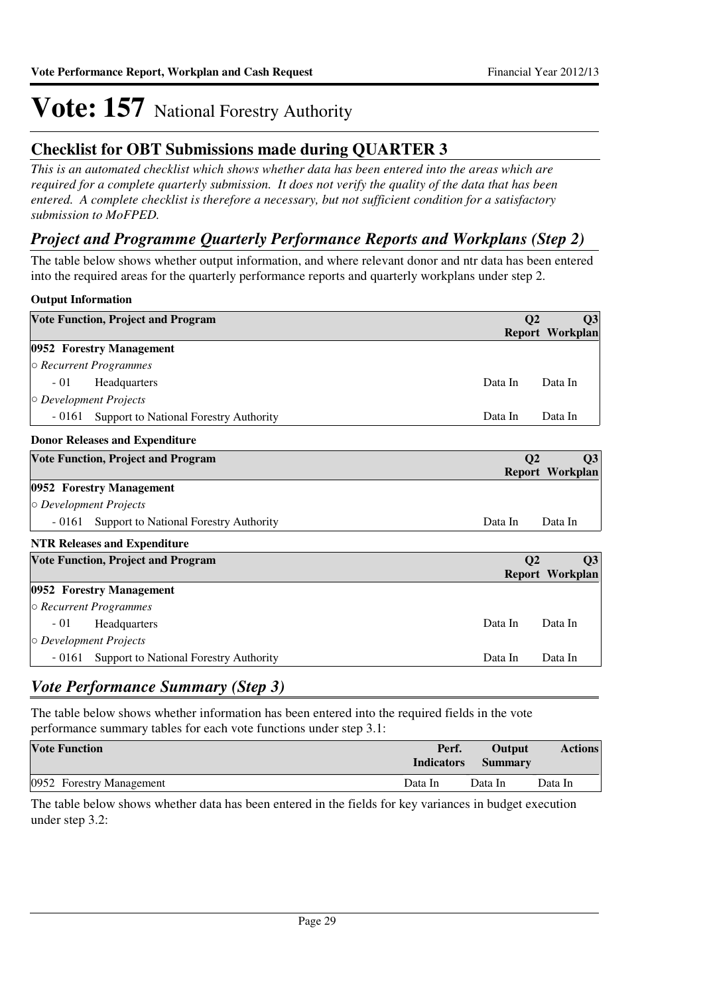### **Checklist for OBT Submissions made during QUARTER 3**

*This is an automated checklist which shows whether data has been entered into the areas which are required for a complete quarterly submission. It does not verify the quality of the data that has been entered. A complete checklist is therefore a necessary, but not sufficient condition for a satisfactory submission to MoFPED.*

### *Project and Programme Quarterly Performance Reports and Workplans (Step 2)*

The table below shows whether output information, and where relevant donor and ntr data has been entered into the required areas for the quarterly performance reports and quarterly workplans under step 2.

### **Output Information**

| <b>Vote Function, Project and Program</b>        | Q <sub>2</sub><br>Q3                           |
|--------------------------------------------------|------------------------------------------------|
|                                                  | <b>Report Workplan</b>                         |
| 0952 Forestry Management                         |                                                |
| $\circ$ Recurrent Programmes                     |                                                |
| $-01$<br>Headquarters                            | Data In<br>Data In                             |
| $\circ$ Development Projects                     |                                                |
| - 0161<br>Support to National Forestry Authority | Data In<br>Data In                             |
| <b>Donor Releases and Expenditure</b>            |                                                |
| <b>Vote Function, Project and Program</b>        | Q <sub>2</sub><br>Q3<br>Report Workplan        |
| 0952 Forestry Management                         |                                                |
| $\circ$ Development Projects                     |                                                |
| Support to National Forestry Authority<br>- 0161 | Data In<br>Data In                             |
| <b>NTR Releases and Expenditure</b>              |                                                |
| <b>Vote Function, Project and Program</b>        | Q <sub>2</sub><br>Q3<br><b>Report Workplan</b> |
| 0952 Forestry Management                         |                                                |
| $\circ$ Recurrent Programmes                     |                                                |
| $-01$<br>Headquarters                            | Data In<br>Data In                             |
| $\circ$ Development Projects                     |                                                |

## *Vote Performance Summary (Step 3)*

The table below shows whether information has been entered into the required fields in the vote performance summary tables for each vote functions under step 3.1:

| <b>Vote Function</b>     | Perf.<br><b>Indicators</b> | Output<br><b>Summary</b> | <b>Actions</b> |
|--------------------------|----------------------------|--------------------------|----------------|
| 0952 Forestry Management | Data In                    | Data In                  | Data In        |

- 0161 Support to National Forestry Authority **Data In Data In Data In** 

The table below shows whether data has been entered in the fields for key variances in budget execution under step 3.2: